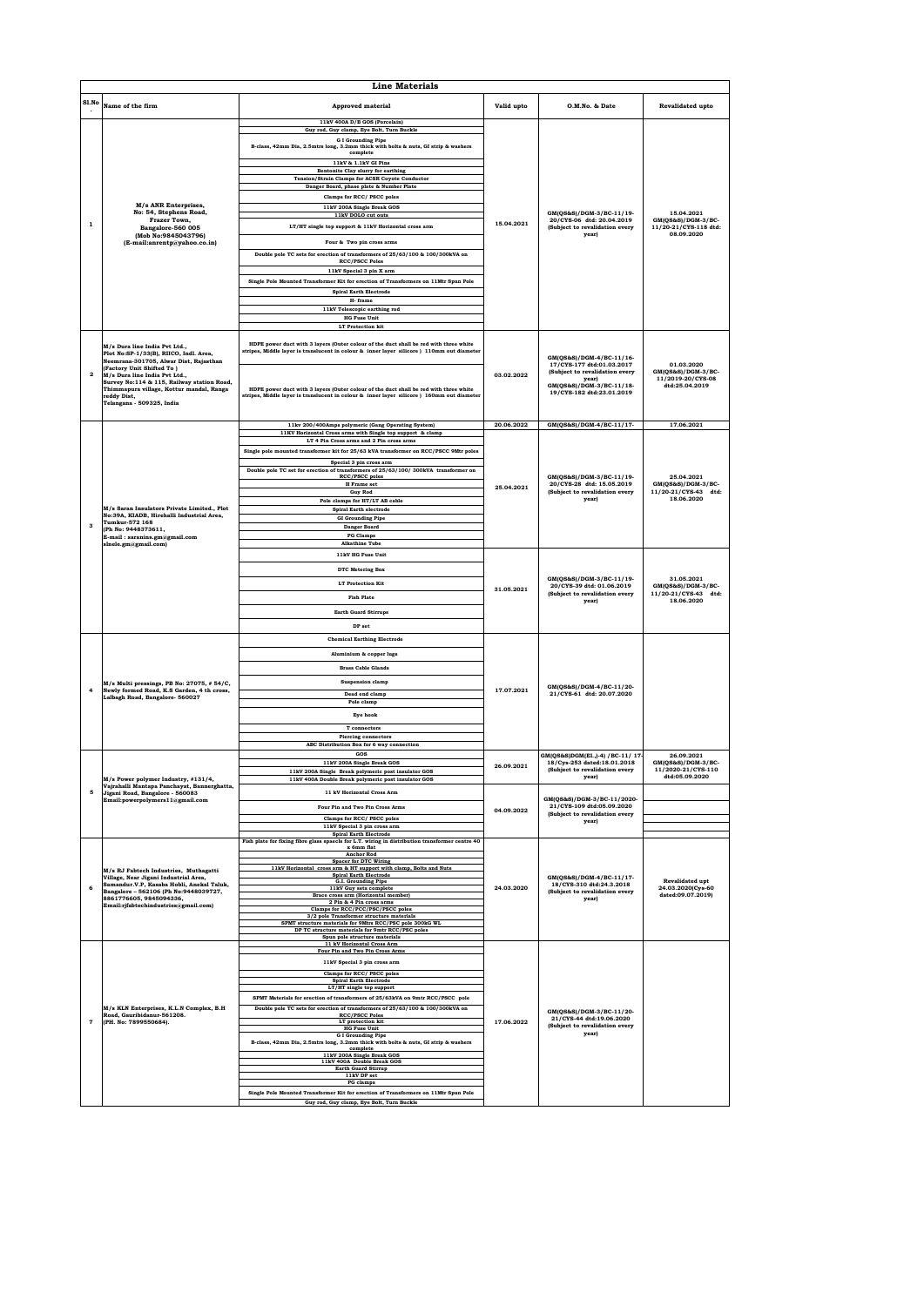|                         |                                                                                                                                                                     | <b>Line Materials</b>                                                                                                                                                               |            |                                                                                                  |                                                               |
|-------------------------|---------------------------------------------------------------------------------------------------------------------------------------------------------------------|-------------------------------------------------------------------------------------------------------------------------------------------------------------------------------------|------------|--------------------------------------------------------------------------------------------------|---------------------------------------------------------------|
| SLNo                    | Name of the firm                                                                                                                                                    | Approved material                                                                                                                                                                   | Valid upto | O.M.No. & Date                                                                                   | Revalidated upto                                              |
|                         |                                                                                                                                                                     | 11kV 400A D/B GOS (Porcelain)<br>Guy rod, Guy clamp, Eye Bolt, Turn Buckle                                                                                                          |            |                                                                                                  |                                                               |
|                         |                                                                                                                                                                     | <b>G</b> I Grounding Pipe<br>B-class, 42mm Dia, 2.5mtrs long, 3.2mm thick with bolts & nuts, GI strip & washers<br>complete                                                         |            |                                                                                                  |                                                               |
|                         |                                                                                                                                                                     | 11kV & 1.1kV GI Pins<br>Bentonite Clay slurry for earthing                                                                                                                          |            |                                                                                                  |                                                               |
|                         |                                                                                                                                                                     | Tension/Strain Clamps for ACSR Coyote Conductor<br>Danger Board, phase plate & Number Plate                                                                                         |            |                                                                                                  |                                                               |
|                         |                                                                                                                                                                     | Clamps for RCC/ PSCC poles                                                                                                                                                          |            |                                                                                                  |                                                               |
|                         | M/s ANR Enterprises,<br>No: 54, Stephens Road,                                                                                                                      | 11kV 200A Single Break GOS<br>11kV DOLO cut outs                                                                                                                                    |            | GM(QS&S)/DGM-3/BC-11/19-                                                                         | 15.04.2021                                                    |
| $\mathbf{1}$            | Frazer Town.<br>Bangalore-560 005                                                                                                                                   | LT/HT single top support & 11kV Horizontal cross arm                                                                                                                                | 15.04.2021 | 20/CYS-06 dtd: 20.04.2019<br>(Subject to revalidation every<br>vearl                             | $GM(QS\&S)/DGM-3/BC$ -<br>11/20-21/CYS-118 dtd:<br>08.09.2020 |
|                         | (Mob No:9845043796)<br>(E-mail:anrentp@yahoo.co.in)                                                                                                                 | Four & Two pin cross arms                                                                                                                                                           |            |                                                                                                  |                                                               |
|                         |                                                                                                                                                                     | Double pole TC sets for erection of transformers of 25/63/100 & 100/300kVA on<br><b>RCC/PSCC Poles</b>                                                                              |            |                                                                                                  |                                                               |
|                         |                                                                                                                                                                     | 11kV Special 3 pin X arm                                                                                                                                                            |            |                                                                                                  |                                                               |
|                         |                                                                                                                                                                     | Single Pole Mounted Transformer Kit for erection of Transformers on 11Mtr Spun Pole<br><b>Spiral Earth Electrode</b>                                                                |            |                                                                                                  |                                                               |
|                         |                                                                                                                                                                     | H-frame<br>11kV Telescopic earthing rod                                                                                                                                             |            |                                                                                                  |                                                               |
|                         |                                                                                                                                                                     | <b>HG</b> Fuse Unit                                                                                                                                                                 |            |                                                                                                  |                                                               |
|                         |                                                                                                                                                                     | <b>LT</b> Protection kit                                                                                                                                                            |            |                                                                                                  |                                                               |
|                         | M/s Dura line India Pvt Ltd<br>Plot No:SP-1/33(B), RIICO, Indl. Area,                                                                                               | HDPE power duct with 3 layers (Outer colour of the duct shall be red with three white<br>stripes, Middle layer is translucent in colour & inner layer silicore ) 110mm out diameter |            |                                                                                                  |                                                               |
|                         | Neemrana-301705, Alwar Dist, Rajasthan<br>(Factory Unit Shifted To)                                                                                                 |                                                                                                                                                                                     |            | GM(QS&S)/DGM-4/BC-11/16-<br>17/CYS-177 dtd:01.03.2017                                            | 01.03.2020<br>GM(QS&S)/DGM-3/BC-                              |
| $\overline{2}$          | M/s Dura line India Pvt Ltd.,<br>Survey No:114 & 115, Railway station Road,<br>Thimmapura village, Kottur mandal, Ranga<br>reddy Dist.<br>Telangana - 509325, India | HDPE power duct with 3 layers (Outer colour of the duct shall be red with three white<br>stripes, Middle layer is translucent in colour & inner layer silicore ) 160mm out diameter | 03.02.2022 | (Subject to revalidation every<br>vearl<br>GM(OS&S)/DGM-3/BC-11/18-<br>19/CYS-182 dtd:23.01.2019 | 11/2019-20/CYS-08<br>dtd:25.04.2019                           |
|                         |                                                                                                                                                                     | 11kv 200/400Amps polymeric (Gang Operating System)                                                                                                                                  | 20.06.2022 | GM(QS&S)/DGM-4/BC-11/17-                                                                         | 17.06.2021                                                    |
|                         |                                                                                                                                                                     | 11KV Horizontal Cross arms with Single top support & clamp<br>LT 4 Pin Cross arms and 2 Pin cross arms                                                                              |            |                                                                                                  |                                                               |
|                         |                                                                                                                                                                     | Single pole mounted transformer kit for 25/63 kVA transformer on RCC/PSCC 9Mtr poles                                                                                                |            |                                                                                                  |                                                               |
|                         |                                                                                                                                                                     | Special 3 pin cross arm<br>Double pole TC set for erection of transformers of 25/63/100/300kVA transformer on                                                                       |            |                                                                                                  |                                                               |
|                         |                                                                                                                                                                     | <b>RCC/PSCC</b> poles<br><b>H</b> Frame set                                                                                                                                         | 25.04.2021 | GM(OS&S)/DGM-3/BC-11/19-<br>20/CYS-28 dtd: 15.05.2019                                            | 25.04.2021<br>GM(QS&S)/DGM-3/BC-                              |
|                         |                                                                                                                                                                     | <b>Guy Rod</b><br>Pole clamps for HT/LT AB cable                                                                                                                                    |            | (Subject to revalidation every<br>year)                                                          | 11/20-21/CYS-43 dtd:<br>18.06.2020                            |
|                         | M/s Saran Insulators Private Limited., Plot<br>No:39A, KIADB, Hirehalli Industrial Area,                                                                            | <b>Spiral Earth electrode</b><br><b>GI Grounding Pipe</b>                                                                                                                           |            |                                                                                                  |                                                               |
| $\overline{\mathbf{3}}$ | Tumkur-572 168<br>(Ph No: 9448373611,                                                                                                                               | Danger Board                                                                                                                                                                        |            |                                                                                                  |                                                               |
|                         | E-mail: saranins.gm@gmail.com<br>slnele.gm@gmail.com)                                                                                                               | <b>PG</b> Clamps<br><b>Alkathine Tube</b>                                                                                                                                           |            | GM(QS&S)/DGM-3/BC-11/19-<br>20/CYS-39 dtd: 01.06.2019<br>(Subject to revalidation every          |                                                               |
|                         |                                                                                                                                                                     | 11kV HG Fuse Unit                                                                                                                                                                   |            |                                                                                                  |                                                               |
|                         |                                                                                                                                                                     | DTC Metering Box                                                                                                                                                                    |            |                                                                                                  | 31.05.2021                                                    |
|                         |                                                                                                                                                                     | <b>LT Protection Kit</b>                                                                                                                                                            | 31.05.2021 |                                                                                                  | GM(QS&S)/DGM-3/BC-<br>11/20-21/CYS-43 dtd:                    |
|                         |                                                                                                                                                                     | <b>Fish Plate</b><br><b>Earth Guard Stirrups</b>                                                                                                                                    |            | year)                                                                                            | 18.06.2020                                                    |
|                         |                                                                                                                                                                     | DP set                                                                                                                                                                              |            |                                                                                                  |                                                               |
|                         |                                                                                                                                                                     | <b>Chemical Earthing Electrode</b>                                                                                                                                                  |            |                                                                                                  |                                                               |
|                         |                                                                                                                                                                     | Aluminium & copper lugs                                                                                                                                                             |            | GM(QS&S)/DGM-4/BC-11/20-<br>21/CYS-61 dtd: 20.07.2020                                            |                                                               |
|                         |                                                                                                                                                                     | <b>Brass Cable Glands</b>                                                                                                                                                           | 17.07.2021 |                                                                                                  |                                                               |
| $\overline{4}$          | M/s Multi pressings, PB No: 27075, # 54/C,<br>Newly formed Road, K.S Garden, 4 th cross,                                                                            | <b>Suspension clamp</b>                                                                                                                                                             |            |                                                                                                  |                                                               |
|                         | Lalbagh Road, Bangalore- 560027                                                                                                                                     | Dead end clamp<br>Pole clamp                                                                                                                                                        |            |                                                                                                  |                                                               |
|                         |                                                                                                                                                                     | Eye hook                                                                                                                                                                            |            |                                                                                                  |                                                               |
|                         |                                                                                                                                                                     | T connectors                                                                                                                                                                        |            |                                                                                                  |                                                               |
|                         |                                                                                                                                                                     | <b>Piercing connectors</b><br>ABC Distribution Box for 6 way connection                                                                                                             |            |                                                                                                  |                                                               |
|                         |                                                                                                                                                                     | GOS<br>11kV 200A Single Break GOS                                                                                                                                                   | 26.09.2021 | GM(QS&S)DGM(El.,)-4) /BC-11/ 17-<br>18/Cys-253 dated:18.01.2018                                  | 26.09.2021<br>GM(QS&S)/DGM-3/BC-                              |
|                         | M/s Power polymer Industry, #131/4,                                                                                                                                 | 11kV 200A Single Break polymeric post insulator GOS<br>11kV 400A Double Break polymeric post insulator GOS                                                                          |            | (Subject to revalidation every<br>year)                                                          | 11/2020-21/CYS-110<br>dtd:05.09.2020                          |
| 5                       | Vajrahalli Mantapa Panchayat, Bannerghatta,<br>Jigani Road, Bangalore - 560083                                                                                      | 11 kV Horizontal Cross Arm                                                                                                                                                          |            |                                                                                                  |                                                               |
|                         | Email:powerpolymers11@gmail.com                                                                                                                                     | Four Pin and Two Pin Cross Arms                                                                                                                                                     | 04.09.2022 | GM(QS&S)/DGM-3/BC-11/2020-<br>21/CYS-109 dtd:05.09.2020<br>(Subject to revalidation every        |                                                               |
|                         |                                                                                                                                                                     | Clamps for RCC/ PSCC poles<br>11kV Special 3 pin cross arm                                                                                                                          |            | year)                                                                                            |                                                               |
|                         |                                                                                                                                                                     | <b>Spiral Earth Electrode</b><br>Fish plate for fixing fibre glass spaecls for L.T. wiring in distribution transformer centre 40                                                    |            |                                                                                                  |                                                               |
|                         |                                                                                                                                                                     | x 6mm flat<br><b>Anchor Rod</b>                                                                                                                                                     |            |                                                                                                  |                                                               |
|                         | M/s RJ Fabtech Industries, Muthagatti                                                                                                                               | <b>Spacer for DTC Wiring</b><br>11kV Horizontal cross arm & HT support with clamp, Bolts and Nuts<br><b>Spiral Earth Electrode</b>                                                  |            |                                                                                                  |                                                               |
| 6                       | Village, Near Jigani Industrial Area,<br>Samandur.V.P, Kasaba Hobli, Anekal Taluk,                                                                                  | G.I. Grounding Pipe<br>11kV Guy sets complete                                                                                                                                       | 24.03.2020 | GM(OS&S)/DGM-4/BC-11/17-<br>18/CYS-310 dtd:24.3.2018                                             | Revalidated upt<br>24.03.2020(Cys-60                          |
|                         | Bangalore - 562106 (Ph No:9448039727,<br>8861776605, 9845094336,<br>Email:rjfabtechindustries@gmail.com)                                                            | Brace cross arm (Horizontal member)<br>2 Pin & 4 Pin cross arms                                                                                                                     |            | (Subject to revalidation every<br>year)                                                          | dated:09.07.2019)                                             |
|                         |                                                                                                                                                                     | Clamps for RCC/PCC/PSC/PSCC poles<br>3/2 pole Transformer structure materials                                                                                                       |            |                                                                                                  |                                                               |
|                         |                                                                                                                                                                     | SPMT structure materials for 9Mtrs RCC/PSC pole 300kG WL<br>DP TC structure materials for 9mtr RCC/PSC poles                                                                        |            |                                                                                                  |                                                               |
|                         |                                                                                                                                                                     | Spun pole structure materials<br>11 kV Horizontal Cross Arm<br>Four Pin and Two Pin Cross Arms                                                                                      |            |                                                                                                  |                                                               |
|                         |                                                                                                                                                                     | 11kV Special 3 pin cross arm                                                                                                                                                        |            |                                                                                                  |                                                               |
|                         |                                                                                                                                                                     | Clamps for RCC/ PSCC poles<br><b>Spiral Earth Electrode</b>                                                                                                                         |            |                                                                                                  |                                                               |
|                         |                                                                                                                                                                     | LT/HT single top support                                                                                                                                                            |            |                                                                                                  |                                                               |
|                         | M/s KLN Enterprises, K.L.N Complex, B.H                                                                                                                             | SPMT Materials for erection of transformers of 25/63kVA on 9mtr RCC/PSCC pole<br>Double pole TC sets for erection of transformers of 25/63/100 & 100/300kVA on                      |            | GM(QS&S)/DGM-3/BC-11/20-                                                                         |                                                               |
| $\overline{7}$          | Road, Gauribidanur-561208.<br>(PH. No: 7899550684).                                                                                                                 | <b>RCC/PSCC Poles</b><br>LT protection kit                                                                                                                                          | 17.06.2022 | 21/CYS-44 dtd:19.06.2020<br>(Subject to revalidation every                                       |                                                               |
|                         |                                                                                                                                                                     | <b>HG Fuse Unit</b><br><b>G I Grounding Pipe</b><br>B-class, 42mm Dia, 2.5mtrs long, 3.2mm thick with bolts & nuts, GI strip & washers                                              |            | year)                                                                                            |                                                               |
|                         |                                                                                                                                                                     | complete<br>11kV 200A Single Break GOS                                                                                                                                              |            |                                                                                                  |                                                               |
|                         |                                                                                                                                                                     | 11kV 400A Double Break GOS<br><b>Earth Guard Stirrup</b>                                                                                                                            |            |                                                                                                  |                                                               |
|                         |                                                                                                                                                                     | 11kV DP set<br>PG clamps                                                                                                                                                            |            |                                                                                                  |                                                               |
|                         |                                                                                                                                                                     | Single Pole Mounted Transformer Kit for erection of Transformers on 11Mtr Spun Pole<br>Guy rod, Guy clamp, Eye Bolt, Turn Buckle                                                    |            |                                                                                                  |                                                               |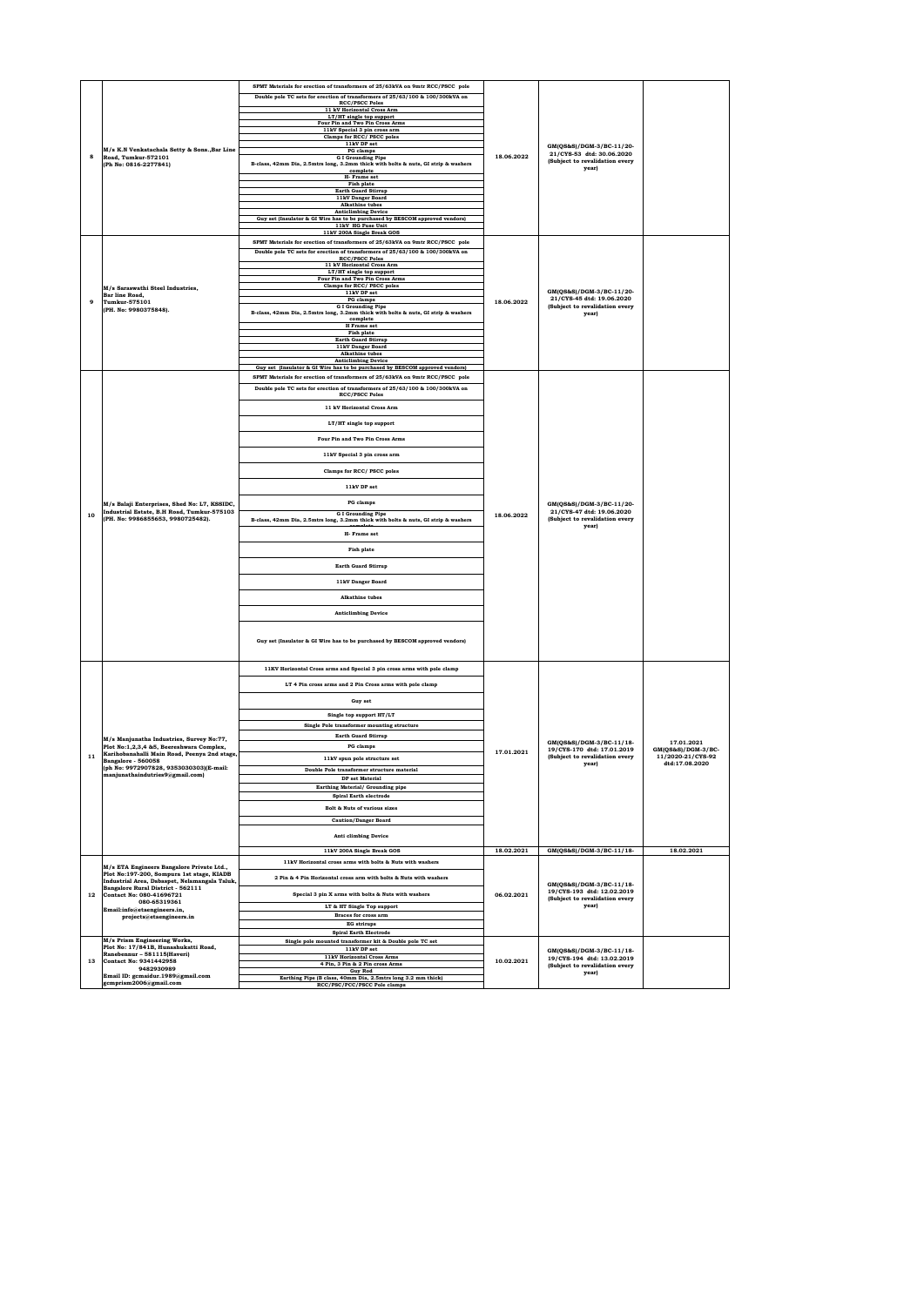|                |                                                                                                                                 | SPMT Materials for erection of transformers of 25/63kVA on 9mtr RCC/PSCC pole                                     |            |                                                                                                  |                                         |
|----------------|---------------------------------------------------------------------------------------------------------------------------------|-------------------------------------------------------------------------------------------------------------------|------------|--------------------------------------------------------------------------------------------------|-----------------------------------------|
|                | M/s K.N Venkatachala Setty & Sons., Bar Line<br>8<br>Road, Tumkur-572101                                                        | Double pole TC sets for erection of transformers of 25/63/100 & 100/300kVA on<br><b>RCC/PSCC Poles</b>            |            |                                                                                                  |                                         |
|                |                                                                                                                                 | 11 kV Horizontal Cross Arm                                                                                        |            |                                                                                                  |                                         |
|                |                                                                                                                                 | LT/HT single top support<br>Four Pin and Two Pin Cross Arms                                                       |            | GM(QS&S)/DGM-3/BC-11/20-                                                                         |                                         |
|                |                                                                                                                                 | 11kV Special 3 pin cross arm<br>Clamps for RCC/ PSCC poles                                                        |            |                                                                                                  |                                         |
|                |                                                                                                                                 | 11kV DP set                                                                                                       |            |                                                                                                  |                                         |
|                |                                                                                                                                 | PG clamps<br><b>G I Grounding Pipe</b>                                                                            | 18.06.2022 | 21/CYS-53 dtd: 30.06.2020                                                                        |                                         |
|                | (Ph No: 0816-2277841)                                                                                                           | B-class, 42mm Dia, 2.5mtrs long, 3.2mm thick with bolts & nuts, GI strip & washers<br>complete                    |            | (Subject to revalidation every<br>year)                                                          |                                         |
|                |                                                                                                                                 | H. Frame set                                                                                                      |            |                                                                                                  |                                         |
|                |                                                                                                                                 | Fish plate<br><b>Earth Guard Stirrup</b>                                                                          |            |                                                                                                  |                                         |
|                |                                                                                                                                 | 11kV Danger Board                                                                                                 |            |                                                                                                  |                                         |
|                |                                                                                                                                 | <b>Alkathine</b> tubes<br><b>Anticlimbing Device</b>                                                              |            |                                                                                                  |                                         |
|                |                                                                                                                                 | Guy set (Insulator & GI Wire has to be purchased by BESCOM approved vendors)<br>11kV HG Fuse Unit                 |            |                                                                                                  |                                         |
|                |                                                                                                                                 | 11kV 200A Single Break GOS                                                                                        |            |                                                                                                  |                                         |
|                |                                                                                                                                 | SPMT Materials for erection of transformers of 25/63kVA on 9mtr RCC/PSCC pole                                     |            |                                                                                                  |                                         |
|                |                                                                                                                                 | Double pole TC sets for erection of transformers of 25/63/100 & 100/300kVA on<br><b>RCC/PSCC Poles</b>            |            |                                                                                                  |                                         |
|                |                                                                                                                                 | 11 kV Horizontal Cross Arm                                                                                        |            |                                                                                                  |                                         |
|                |                                                                                                                                 | LT/HT single top support<br>Four Pin and Two Pin Cross Arms                                                       |            |                                                                                                  |                                         |
|                | M/s Saraswathi Steel Industries,                                                                                                | Clamps for RCC/ PSCC poles                                                                                        |            | GM(QS&S)/DGM-3/BC-11/20-                                                                         |                                         |
| $\overline{9}$ | Bar line Road.<br><b>Tumkur-575101</b>                                                                                          | 11kV DP set<br>PG clamps                                                                                          | 18.06.2022 | 21/CYS-45 dtd: 19.06.2020                                                                        |                                         |
|                | (PH. No: 9980375848).                                                                                                           | <b>G I Grounding Pipe</b><br>B-class, 42mm Dia, 2.5mtrs long, 3.2mm thick with bolts & nuts, GI strip & washers   |            | (Subject to revalidation every<br>year)                                                          |                                         |
|                |                                                                                                                                 | complete                                                                                                          |            |                                                                                                  |                                         |
|                |                                                                                                                                 | <b>H</b> Frame set<br><b>Fish plate</b>                                                                           |            |                                                                                                  |                                         |
|                |                                                                                                                                 | <b>Earth Guard Stirrup</b><br>11kV Danger Board                                                                   |            |                                                                                                  |                                         |
|                |                                                                                                                                 | <b>Alkathine</b> tubes                                                                                            |            |                                                                                                  |                                         |
|                |                                                                                                                                 | <b>Anticlimbing Device</b><br>Guy set (Insulator & GI Wire has to be purchased by BESCOM approved vendors)        |            |                                                                                                  |                                         |
|                |                                                                                                                                 | SPMT Materials for erection of transformers of 25/63kVA on 9mtr RCC/PSCC pole                                     |            |                                                                                                  |                                         |
|                |                                                                                                                                 | Double pole TC sets for erection of transformers of 25/63/100 & 100/300kVA on                                     |            |                                                                                                  |                                         |
|                |                                                                                                                                 | <b>RCC/PSCC Poles</b>                                                                                             |            |                                                                                                  |                                         |
|                |                                                                                                                                 | 11 kV Horizontal Cross Arm                                                                                        |            |                                                                                                  |                                         |
|                |                                                                                                                                 | LT/HT single top support                                                                                          |            |                                                                                                  |                                         |
|                |                                                                                                                                 |                                                                                                                   |            |                                                                                                  |                                         |
|                |                                                                                                                                 | Four Pin and Two Pin Cross Arms                                                                                   |            | GM(QS&S)/DGM-3/BC-11/20-<br>21/CYS-47 dtd: 19.06.2020<br>(Subject to revalidation every<br>year) |                                         |
|                |                                                                                                                                 | 11kV Special 3 pin cross arm                                                                                      |            |                                                                                                  |                                         |
|                |                                                                                                                                 |                                                                                                                   |            |                                                                                                  |                                         |
|                |                                                                                                                                 | Clamps for RCC/ PSCC poles                                                                                        |            |                                                                                                  |                                         |
|                |                                                                                                                                 | 11kV DP set                                                                                                       |            |                                                                                                  |                                         |
|                | M/s Balaji Enterprises, Shed No: L7, KSSIDC,<br>Industrial Estate, B.H Road, Tumkur-575103<br>(PH. No: 9986855653, 9980725482). | PG clamps                                                                                                         |            |                                                                                                  |                                         |
|                |                                                                                                                                 | <b>G I Grounding Pipe</b>                                                                                         |            |                                                                                                  |                                         |
| 10             |                                                                                                                                 | B-class, 42mm Dia, 2.5mtrs long, 3.2mm thick with bolts & nuts, GI strip & washers                                | 18.06.2022 |                                                                                                  |                                         |
|                |                                                                                                                                 |                                                                                                                   |            |                                                                                                  |                                         |
|                |                                                                                                                                 |                                                                                                                   |            |                                                                                                  |                                         |
|                |                                                                                                                                 | H- Frame set                                                                                                      |            |                                                                                                  |                                         |
|                |                                                                                                                                 | <b>Fish plate</b>                                                                                                 |            |                                                                                                  |                                         |
|                |                                                                                                                                 | <b>Earth Guard Stirrup</b>                                                                                        |            |                                                                                                  |                                         |
|                |                                                                                                                                 |                                                                                                                   |            |                                                                                                  |                                         |
|                |                                                                                                                                 | 11kV Danger Board                                                                                                 |            |                                                                                                  |                                         |
|                |                                                                                                                                 | <b>Alkathine</b> tubes                                                                                            |            |                                                                                                  |                                         |
|                |                                                                                                                                 |                                                                                                                   |            |                                                                                                  |                                         |
|                |                                                                                                                                 | <b>Anticlimbing Device</b>                                                                                        |            |                                                                                                  |                                         |
|                |                                                                                                                                 |                                                                                                                   |            |                                                                                                  |                                         |
|                |                                                                                                                                 | Guy set (Insulator & GI Wire has to be purchased by BESCOM approved vendors)                                      |            |                                                                                                  |                                         |
|                |                                                                                                                                 |                                                                                                                   |            |                                                                                                  |                                         |
|                |                                                                                                                                 | 11KV Horizontal Cross arms and Special 3 pin cross arms with pole clamp                                           |            |                                                                                                  |                                         |
|                |                                                                                                                                 |                                                                                                                   |            |                                                                                                  |                                         |
|                |                                                                                                                                 | LT 4 Pin cross arms and 2 Pin Cross arms with pole clamp                                                          |            |                                                                                                  |                                         |
|                |                                                                                                                                 | Guy set                                                                                                           |            |                                                                                                  |                                         |
|                |                                                                                                                                 |                                                                                                                   |            |                                                                                                  |                                         |
|                |                                                                                                                                 | Single top support HT/LT                                                                                          |            |                                                                                                  |                                         |
|                |                                                                                                                                 | Single Pole transformer mounting structure<br>Earth Guard Stirrup                                                 |            |                                                                                                  |                                         |
|                | M/s Manjunatha Industries, Survey No:77,<br>Plot No:1,2,3,4 &5, Beereshwara Complex,                                            | PG clamps                                                                                                         |            | GM(QS&S)/DGM-3/BC-11/18-                                                                         | 17.01.2021                              |
| 11             | Karihobanahalli Main Road, Peenya 2nd stage,                                                                                    |                                                                                                                   | 17.01.2021 | 19/CYS-170 dtd: 17.01.2019<br>(Subject to revalidation every                                     | GM(OS&S)/DGM-3/BC-<br>11/2020-21/CYS-92 |
|                | Bangalore - 560058<br>(ph No: 9972907828, 9353030303)(E-mail:                                                                   | 11kV spun pole structure set                                                                                      |            | year)                                                                                            | dtd:17.08.2020                          |
|                | manjunathaindutries9@gmail.com]                                                                                                 | Double Pole transformer structure material<br><b>DP</b> set Material                                              |            |                                                                                                  |                                         |
|                |                                                                                                                                 | Earthing Material/ Grounding pipe                                                                                 |            |                                                                                                  |                                         |
|                |                                                                                                                                 | <b>Spiral Earth electrode</b>                                                                                     |            |                                                                                                  |                                         |
|                |                                                                                                                                 | Bolt & Nuts of various sizes                                                                                      |            |                                                                                                  |                                         |
|                |                                                                                                                                 | <b>Caution/Danger Board</b>                                                                                       |            |                                                                                                  |                                         |
|                |                                                                                                                                 | <b>Anti climbing Device</b>                                                                                       |            |                                                                                                  |                                         |
|                |                                                                                                                                 |                                                                                                                   |            |                                                                                                  |                                         |
|                |                                                                                                                                 | 11kV 200A Single Break GOS                                                                                        | 18.02.2021 | GM(QS&S)/DGM-3/BC-11/18-                                                                         | 18.02.2021                              |
|                | M/s ETA Engineers Bangalore Private Ltd.,                                                                                       | 11kV Horizontal cross arms with bolts & Nuts with washers                                                         |            |                                                                                                  |                                         |
|                | Plot No:197-200, Sompura 1st stage, KIADB<br>Industrial Area, Dabaspet, Nelamangala Taluk,                                      | 2 Pin & 4 Pin Horizontal cross arm with bolts & Nuts with washers                                                 |            |                                                                                                  |                                         |
| 12             | Bangalore Rural District - 562111                                                                                               | Special 3 pin X arms with bolts & Nuts with washers                                                               |            | GM(QS&S)/DGM-3/BC-11/18-<br>19/CYS-193 dtd: 12.02.2019                                           |                                         |
|                | Contact No: 080-41696721<br>080-65319361                                                                                        |                                                                                                                   | 06.02.2021 | (Subject to revalidation every                                                                   |                                         |
|                | Email:info@etaengineers.in,<br>projects@etaengineers.in                                                                         | LT & HT Single Top support<br>Braces for cross arm                                                                |            | year)                                                                                            |                                         |
|                |                                                                                                                                 | <b>EG</b> strirups                                                                                                |            |                                                                                                  |                                         |
|                |                                                                                                                                 | <b>Spiral Earth Electrode</b>                                                                                     |            |                                                                                                  |                                         |
|                | M/s Prism Engineering Works,<br>Plot No: 17/841B, Hunashukatti Road,                                                            | Single pole mounted transformer kit & Double pole TC set<br>11kV DP set                                           |            |                                                                                                  |                                         |
| 13             | Ranebennur - 581115(Haveri)<br><b>Contact No: 9341442958</b>                                                                    | 11kV Horizontal Cross Arms                                                                                        | 10.02.2021 | GM(QS&S)/DGM-3/BC-11/18-<br>19/CYS-194 dtd: 13.02.2019                                           |                                         |
|                | 9482930989<br>Email ID: gcmaidur.1989@gmail.com                                                                                 | 4 Pin, 3 Pin & 2 Pin cross Arms<br><b>Guy Rod</b><br>Earthing Pipe (B class, 40mm Dia, 2.5mtrs long 3.2 mm thick) |            | (Subject to revalidation every<br>year)                                                          |                                         |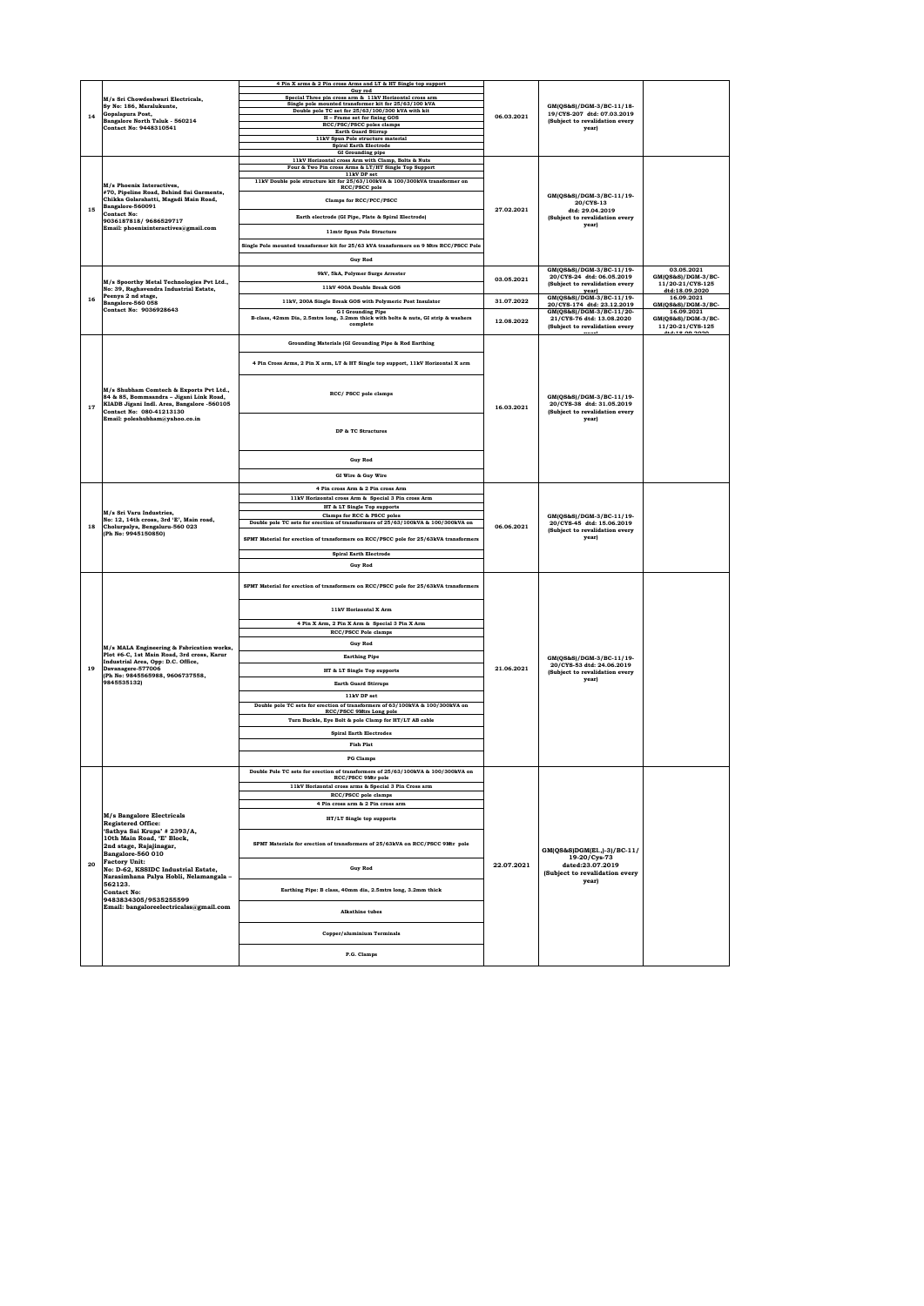|    |                                                                                                                                               | 4 Pin X arms & 2 Pin cross Arms and LT & HT Single top support                                             |            |                                                                                                   |                                     |
|----|-----------------------------------------------------------------------------------------------------------------------------------------------|------------------------------------------------------------------------------------------------------------|------------|---------------------------------------------------------------------------------------------------|-------------------------------------|
|    |                                                                                                                                               | Guy rod                                                                                                    |            |                                                                                                   |                                     |
|    | M/s Sri Chowdeshwari Electricals.<br>Sy No: 186, Maralukunte,<br>Gopalapura Post.<br>Bangalore North Taluk - 560214<br>Contact No: 9448310541 | Special Three pin cross arm & 11kV Horizontal cross arm                                                    |            |                                                                                                   |                                     |
|    |                                                                                                                                               | Single pole mounted transformer kit for 25/63/100 kVA<br>Double pole TC set for 25/63/100/300 kVA with kit |            | GM(QS&S)/DGM-3/BC-11/18-<br>19/CYS-207 dtd: 07.03.2019<br>(Subject to revalidation every<br>year) |                                     |
| 14 |                                                                                                                                               | H - Frame set for fixing GOS                                                                               | 06.03.2021 |                                                                                                   |                                     |
|    |                                                                                                                                               | RCC/PSC/PSCC poles clamps                                                                                  |            |                                                                                                   |                                     |
|    |                                                                                                                                               | <b>Earth Guard Stirrup</b><br>11kV Spun Pole structure material                                            |            |                                                                                                   |                                     |
|    |                                                                                                                                               | <b>Spiral Earth Electrode</b>                                                                              |            |                                                                                                   |                                     |
|    |                                                                                                                                               | <b>GI</b> Grounding pipe                                                                                   |            |                                                                                                   |                                     |
|    |                                                                                                                                               | 11kV Horizontal cross Arm with Clamp, Bolts & Nuts                                                         |            |                                                                                                   |                                     |
|    |                                                                                                                                               | Four & Two Pin cross Arms & LT/HT Single Top Support<br>11kV DP set                                        |            |                                                                                                   |                                     |
|    |                                                                                                                                               | 11kV Double pole structure kit for 25/63/100kVA & 100/300kVA transformer on                                |            |                                                                                                   |                                     |
|    | M/s Phoenix Interactives.<br>#70, Pipeline Road, Behind Sai Garments,                                                                         | RCC/PSCC pole                                                                                              |            |                                                                                                   |                                     |
|    | Chikka Golarahatti, Magadi Main Road,                                                                                                         | Clamps for RCC/PCC/PSCC                                                                                    |            | GM(QS&S)/DGM-3/BC-11/19-                                                                          |                                     |
| 15 | Bangalore-560091                                                                                                                              |                                                                                                            | 27.02.2021 | 20/CYS-13<br>dtd: 29.04.2019                                                                      |                                     |
|    | <b>Contact No:</b><br>9036187818/9686529717                                                                                                   | Earth electrode (GI Pipe, Plate & Spiral Electrode)                                                        |            | (Subject to revalidation every                                                                    |                                     |
|    | Email: phoenixinteractives@gmail.com                                                                                                          |                                                                                                            |            | year)                                                                                             |                                     |
|    |                                                                                                                                               | 11mtr Spun Pole Structure                                                                                  |            |                                                                                                   |                                     |
|    |                                                                                                                                               | Single Pole mounted transformer kit for 25/63 kVA transformers on 9 Mtrs RCC/PSCC Pole                     |            |                                                                                                   |                                     |
|    |                                                                                                                                               |                                                                                                            |            |                                                                                                   |                                     |
|    |                                                                                                                                               | <b>Guy Rod</b>                                                                                             |            |                                                                                                   |                                     |
|    |                                                                                                                                               | 9kV, 5kA, Polymer Surge Arrester                                                                           |            | GM(QS&S)/DGM-3/BC-11/19-<br>20/CYS-24 dtd: 06.05.2019                                             | 03.05.2021<br>$GM(QS\&S)/DGM-3/BC-$ |
|    | M/s Spoorthy Metal Technologies Pvt Ltd.,                                                                                                     |                                                                                                            | 03.05.2021 | (Subject to revalidation every                                                                    | 11/20-21/CYS-125                    |
|    | No: 39, Raghavendra Industrial Estate,                                                                                                        | 11kV 400A Double Break GOS                                                                                 |            | $\frac{year)}{GM(QS&S)/DGM-3/BC-11/19}$                                                           | dtd:18.09.2020<br>16.09.2021        |
| 16 | Peenya 2 nd stage,<br>Bangalore-560 058                                                                                                       | 11kV, 200A Single Break GOS with Polymeric Post Insulator                                                  | 31.07.2022 | 20/CYS-174 dtd: 23.12.2019                                                                        | $GM(QS\&S)/DGM-3/BC-$               |
|    | Contact No: 9036928643                                                                                                                        | <b>G</b> I Grounding Pipe                                                                                  |            | GM(QS&S)/DGM-3/BC-11/20-                                                                          | 16.09.2021                          |
|    |                                                                                                                                               | B-class, 42mm Dia, 2.5mtrs long, 3.2mm thick with bolts & nuts, GI strip & washers                         | 12.08.2022 | 21/CYS-76 dtd: 13.08.2020                                                                         | GM(QS&S)/DGM-3/BC-                  |
|    |                                                                                                                                               | complete                                                                                                   |            | (Subject to revalidation every                                                                    | 11/20-21/CYS-125                    |
|    |                                                                                                                                               |                                                                                                            |            |                                                                                                   | 4+4-19 09 2020                      |
|    |                                                                                                                                               | Grounding Materials (GI Grounding Pipe & Rod Earthing                                                      |            |                                                                                                   |                                     |
|    |                                                                                                                                               |                                                                                                            |            |                                                                                                   |                                     |
|    |                                                                                                                                               | 4 Pin Cross Arms, 2 Pin X arm, LT & HT Single top support, 11kV Horizontal X arm                           |            |                                                                                                   |                                     |
|    |                                                                                                                                               |                                                                                                            |            |                                                                                                   |                                     |
|    |                                                                                                                                               |                                                                                                            |            |                                                                                                   |                                     |
|    | M/s Shubham Comtech & Exports Pvt Ltd                                                                                                         | RCC/ PSCC pole clamps                                                                                      |            |                                                                                                   |                                     |
|    | 84 & 85, Bommsandra - Jigani Link Road,                                                                                                       |                                                                                                            |            | GM(QS&S)/DGM-3/BC-11/19-<br>20/CYS-38 dtd: 31.05.2019                                             |                                     |
| 17 | KIADB Jigani Indl. Area, Bangalore -560105<br>Contact No: 080-41213130                                                                        |                                                                                                            | 16.03.2021 | (Subject to revalidation every                                                                    |                                     |
|    | Email: poleshubham@yahoo.co.in                                                                                                                |                                                                                                            |            | year)                                                                                             |                                     |
|    |                                                                                                                                               |                                                                                                            |            |                                                                                                   |                                     |
|    |                                                                                                                                               | DP & TC Structures                                                                                         |            |                                                                                                   |                                     |
|    |                                                                                                                                               |                                                                                                            |            |                                                                                                   |                                     |
|    |                                                                                                                                               |                                                                                                            |            |                                                                                                   |                                     |
|    |                                                                                                                                               | <b>Guy Rod</b>                                                                                             |            |                                                                                                   |                                     |
|    |                                                                                                                                               | GI Wire & Guy Wire                                                                                         |            |                                                                                                   |                                     |
|    |                                                                                                                                               |                                                                                                            |            |                                                                                                   |                                     |
|    |                                                                                                                                               | 4 Pin cross Arm & 2 Pin cross Arm                                                                          |            |                                                                                                   |                                     |
|    |                                                                                                                                               | 11kV Horizontal cross Arm & Special 3 Pin cross Arm                                                        |            |                                                                                                   |                                     |
|    | M/s Sri Varu Industries,                                                                                                                      | HT & LT Single Top supports<br>Clamps for RCC & PSCC poles                                                 |            |                                                                                                   |                                     |
|    | No: 12, 14th cross, 3rd 'E', Main road,                                                                                                       | Double pole TC sets for erection of transformers of 25/63/100kVA & 100/300kVA on                           | 06.06.2021 | GM(QS&S)/DGM-3/BC-11/19-<br>20/CYS-45 dtd: 15.06.2019                                             |                                     |
| 18 | Cholurpalya, Bengaluru-560 023<br>(Ph No: 9945150850)                                                                                         |                                                                                                            |            | (Subject to revalidation every                                                                    |                                     |
|    |                                                                                                                                               | SPMT Material for erection of transformers on RCC/PSCC pole for 25/63kVA transformers                      |            | year)                                                                                             |                                     |
|    |                                                                                                                                               |                                                                                                            |            |                                                                                                   |                                     |
|    |                                                                                                                                               |                                                                                                            |            |                                                                                                   |                                     |
|    |                                                                                                                                               | <b>Spiral Earth Electrode</b>                                                                              |            |                                                                                                   |                                     |
|    |                                                                                                                                               | <b>Guy Rod</b>                                                                                             |            |                                                                                                   |                                     |
|    |                                                                                                                                               |                                                                                                            |            |                                                                                                   |                                     |
|    |                                                                                                                                               | SPMT Material for erection of transformers on RCC/PSCC pole for 25/63kVA transformers                      |            |                                                                                                   |                                     |
|    |                                                                                                                                               |                                                                                                            |            |                                                                                                   |                                     |
|    |                                                                                                                                               |                                                                                                            |            |                                                                                                   |                                     |
|    |                                                                                                                                               | 11kV Horizontal X Arm                                                                                      |            |                                                                                                   |                                     |
|    |                                                                                                                                               |                                                                                                            |            |                                                                                                   |                                     |
|    |                                                                                                                                               | 4 Pin X Arm, 2 Pin X Arm & Special 3 Pin X Arm                                                             |            |                                                                                                   |                                     |
|    |                                                                                                                                               | RCC/PSCC Pole clamps                                                                                       |            |                                                                                                   |                                     |
|    | M/s MALA Engineering & Fabrication works,                                                                                                     | <b>Guy Rod</b>                                                                                             |            |                                                                                                   |                                     |
|    | Plot #6-C, 1st Main Road, 3rd cross, Karur                                                                                                    | <b>Earthing Pipe</b>                                                                                       |            | GM(QS&S)/DGM-3/BC-11/19-                                                                          |                                     |
| 19 | Industrial Area, Opp: D.C. Office,<br>Davanagere-577006                                                                                       |                                                                                                            | 21.06.2021 | 20/CYS-53 dtd: 24.06.2019                                                                         |                                     |
|    | (Ph No: 9845565988, 9606737558,                                                                                                               | HT & LT Single Top supports                                                                                |            | (Subject to revalidation every<br>year)                                                           |                                     |
|    | 9845535132)                                                                                                                                   | <b>Rarth Guard Stirruns</b>                                                                                |            |                                                                                                   |                                     |
|    |                                                                                                                                               | 11kV DP set                                                                                                |            |                                                                                                   |                                     |
|    |                                                                                                                                               | Double pole TC sets for erection of transformers of 63/100kVA & 100/300kVA on                              |            |                                                                                                   |                                     |
|    |                                                                                                                                               | RCC/PSCC 9Mtrs Long pole                                                                                   |            |                                                                                                   |                                     |
|    |                                                                                                                                               | Turn Buckle, Eye Bolt & pole Clamp for HT/LT AB cable                                                      |            |                                                                                                   |                                     |
|    |                                                                                                                                               | <b>Spiral Earth Electrodes</b>                                                                             |            |                                                                                                   |                                     |
|    |                                                                                                                                               | <b>Fish Plat</b>                                                                                           |            |                                                                                                   |                                     |
|    |                                                                                                                                               |                                                                                                            |            |                                                                                                   |                                     |
|    |                                                                                                                                               | <b>PG Clamps</b>                                                                                           |            |                                                                                                   |                                     |
|    |                                                                                                                                               | Double Pole TC sets for erection of transformers of 25/63/100kVA & 100/300kVA on                           |            |                                                                                                   |                                     |
|    |                                                                                                                                               | RCC/PSCC 9Mtr pole                                                                                         |            |                                                                                                   |                                     |
|    |                                                                                                                                               | 11kV Horizontal cross arms & Special 3 Pin Cross arm                                                       |            |                                                                                                   |                                     |
|    |                                                                                                                                               | RCC/PSCC pole clamps                                                                                       |            |                                                                                                   |                                     |
|    |                                                                                                                                               | 4 Pin cross arm & 2 Pin cross arm                                                                          |            |                                                                                                   |                                     |
|    | <b>M/s Bangalore Electricals</b>                                                                                                              | HT/LT Single top supports                                                                                  |            |                                                                                                   |                                     |
|    | <b>Registered Office:</b>                                                                                                                     |                                                                                                            |            |                                                                                                   |                                     |
|    | 'Sathya Sai Krupa' # 2393/A,                                                                                                                  |                                                                                                            |            |                                                                                                   |                                     |
|    | 10th Main Road, 'E' Block,                                                                                                                    | SPMT Materials for erection of transformers of 25/63kVA on RCC/PSCC 9Mtr pole                              |            |                                                                                                   |                                     |
|    | 2nd stage, Rajajinagar,<br>Bangalore-560 010                                                                                                  |                                                                                                            |            | GM(QS&S)DGM(E1.,)-3)/BC-11/                                                                       |                                     |
| 20 | <b>Factory Unit:</b>                                                                                                                          |                                                                                                            | 22.07.2021 | 19-20/Cvs-73<br>dated:23.07.2019                                                                  |                                     |
|    | No: D-62, KSSIDC Industrial Estate,                                                                                                           | <b>Guy Rod</b>                                                                                             |            | (Subject to revalidation every                                                                    |                                     |
|    | Narasimhana Palya Hobli, Nelamangala -<br>562123                                                                                              |                                                                                                            |            | year)                                                                                             |                                     |
|    | <b>Contact No:</b>                                                                                                                            | Earthing Pipe: B class, 40mm dia, 2.5mtrs long, 3.2mm thick                                                |            |                                                                                                   |                                     |
|    | 9483834305/9535255599                                                                                                                         |                                                                                                            |            |                                                                                                   |                                     |
|    | Email: bangaloreelectricalss@gmail.com                                                                                                        | <b>Alkathine</b> tubes                                                                                     |            |                                                                                                   |                                     |
|    |                                                                                                                                               |                                                                                                            |            |                                                                                                   |                                     |
|    |                                                                                                                                               |                                                                                                            |            |                                                                                                   |                                     |
|    |                                                                                                                                               | Copper/aluminium Terminals                                                                                 |            |                                                                                                   |                                     |
|    |                                                                                                                                               | P.G. Clamps                                                                                                |            |                                                                                                   |                                     |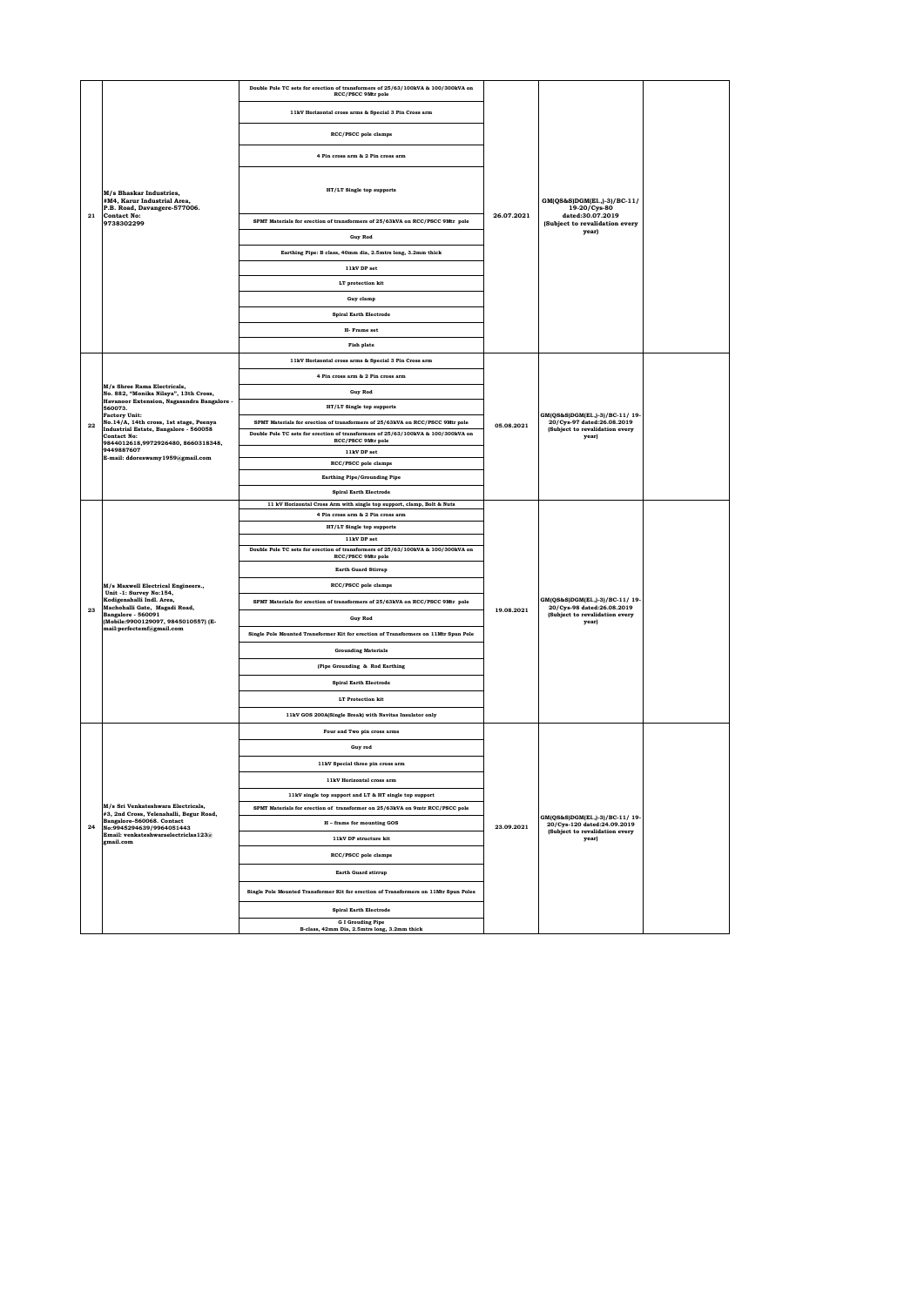|    |                                                                                                   | Double Pole TC sets for erection of transformers of 25/63/100kVA & 100/300kVA on<br>RCC/PSCC 9Mtr pole  |            |                                                                                                         |  |
|----|---------------------------------------------------------------------------------------------------|---------------------------------------------------------------------------------------------------------|------------|---------------------------------------------------------------------------------------------------------|--|
|    |                                                                                                   | 11kV Horizontal cross arms & Special 3 Pin Cross arm                                                    |            |                                                                                                         |  |
|    |                                                                                                   | <b>RCC/PSCC</b> pole clamps                                                                             |            |                                                                                                         |  |
|    |                                                                                                   |                                                                                                         |            |                                                                                                         |  |
|    |                                                                                                   | 4 Pin cross arm & 2 Pin cross arm                                                                       |            |                                                                                                         |  |
|    | M/s Bhaskar Industries,<br>#M4, Karur Industrial Area,                                            | HT/LT Single top supports                                                                               |            | GM(QS&S)DGM(E1.,)-3)/BC-11/<br>19-20/Cys-80                                                             |  |
| 21 | P.B. Road, Davangere-577006.<br><b>Contact No:</b><br>9738302299                                  | SPMT Materials for erection of transformers of 25/63kVA on RCC/PSCC 9Mtr pole                           | 26.07.2021 | dated:30.07.2019<br>(Subject to revalidation every<br>year)                                             |  |
|    |                                                                                                   | <b>Guy Rod</b>                                                                                          |            |                                                                                                         |  |
|    |                                                                                                   | Earthing Pipe: B class, 40mm dia, 2.5mtrs long, 3.2mm thick<br>11kV DP set                              |            |                                                                                                         |  |
|    |                                                                                                   | LT protection kit                                                                                       |            |                                                                                                         |  |
|    |                                                                                                   | Guy clamp                                                                                               |            |                                                                                                         |  |
|    |                                                                                                   | <b>Spiral Earth Electrode</b>                                                                           |            |                                                                                                         |  |
|    |                                                                                                   | H- Frame set                                                                                            |            |                                                                                                         |  |
|    |                                                                                                   | <b>Fish plate</b>                                                                                       |            |                                                                                                         |  |
|    |                                                                                                   | 11kV Horizontal cross arms & Special 3 Pin Cross arm                                                    |            |                                                                                                         |  |
|    |                                                                                                   | 4 Pin cross arm & 2 Pin cross arm                                                                       |            |                                                                                                         |  |
|    | M/s Shree Rama Electricals,<br>No. 882, "Monika Nilaya", 13th Cross,                              | <b>Guy Rod</b>                                                                                          |            |                                                                                                         |  |
|    | Havanoor Extension, Nagasandra Bangalore -<br>560073.                                             | HT/LT Single top supports                                                                               |            | GM(QS&S)DGM(El.,)-3)/BC-11/19-<br>20/Cys-97 dated:26.08.2019<br>(Subject to revalidation every<br>year) |  |
| 22 | <b>Factory Unit:</b><br>No.14/A, 14th cross, 1st stage, Peenya                                    | SPMT Materials for erection of transformers of 25/63kVA on RCC/PSCC 9Mtr pole                           | 05.08.2021 |                                                                                                         |  |
|    | Industrial Estate, Bangalore - 560058<br><b>Contact No:</b><br>9844012618,9972926480, 8660318348, | Double Pole TC sets for erection of transformers of 25/63/100kVA & 100/300kVA on<br>RCC/PSCC 9Mtr pole  |            |                                                                                                         |  |
|    | 9449887607<br>E-mail: ddoreswamy1959@gmail.com                                                    | 11kV DP set                                                                                             |            |                                                                                                         |  |
|    |                                                                                                   | RCC/PSCC pole clamps                                                                                    |            |                                                                                                         |  |
|    |                                                                                                   | <b>Earthing Pipe/Grounding Pipe</b>                                                                     |            |                                                                                                         |  |
|    |                                                                                                   | <b>Spiral Earth Electrode</b><br>11 kV Horizontal Cross Arm with single top support, clamp, Bolt & Nuts |            |                                                                                                         |  |
|    |                                                                                                   | 4 Pin cross arm & 2 Pin cross arm                                                                       | 19.08.2021 | GM(QS&S)DGM(E1.,)-3)/BC-11/19-<br>20/Cys-98 dated:26.08.2019<br>(Subject to revalidation every<br>year) |  |
|    |                                                                                                   | HT/LT Single top supports                                                                               |            |                                                                                                         |  |
|    |                                                                                                   | 11kV DP set<br>Double Pole TC sets for erection of transformers of 25/63/100kVA & 100/300kVA on         |            |                                                                                                         |  |
|    |                                                                                                   | RCC/PSCC 9Mtr pole                                                                                      |            |                                                                                                         |  |
|    |                                                                                                   | <b>Earth Guard Stirrup</b>                                                                              |            |                                                                                                         |  |
|    | M/s Maxwell Electrical Engineers.,<br>Unit -1: Survey No:154,                                     | RCC/PSCC pole clamps                                                                                    |            |                                                                                                         |  |
| 23 | Kodigenahalli Indl. Area,<br>Machohalli Gate, Magadi Road,<br>Bangalore - 560091                  | SPMT Materials for erection of transformers of 25/63kVA on RCC/PSCC 9Mtr pole                           |            |                                                                                                         |  |
|    | (Mobile:9900129097, 9845010557) (E-<br>mail:perfectemf@gmail.com                                  | <b>Guy Rod</b>                                                                                          |            |                                                                                                         |  |
|    |                                                                                                   | Single Pole Mounted Transformer Kit for erection of Transformers on 11Mtr Spun Pole                     |            |                                                                                                         |  |
|    |                                                                                                   | <b>Grounding Materials</b>                                                                              |            |                                                                                                         |  |
|    |                                                                                                   | (Pipe Grounding & Rod Earthing                                                                          |            |                                                                                                         |  |
|    |                                                                                                   | <b>Spiral Earth Electrode</b>                                                                           |            |                                                                                                         |  |
|    |                                                                                                   | <b>LT</b> Protection kit                                                                                |            |                                                                                                         |  |
|    |                                                                                                   | 11kV GOS 200A(Single Break) with Navitas Insulator only                                                 |            |                                                                                                         |  |
|    |                                                                                                   | Four and Two pin cross arms                                                                             |            |                                                                                                         |  |
|    |                                                                                                   | Guy rod                                                                                                 |            |                                                                                                         |  |
|    |                                                                                                   | 11kV Special three pin cross arm                                                                        |            |                                                                                                         |  |
|    |                                                                                                   | 11kV Horizontal cross arm                                                                               |            |                                                                                                         |  |
|    |                                                                                                   | 11kV single top support and LT & HT single top support                                                  |            |                                                                                                         |  |
|    | M/s Sri Venkateshwara Electricals.<br>#3, 2nd Cross, Yelenahalli, Begur Road,                     | SPMT Materials for erection of transformer on 25/63kVA on 9mtr RCC/PSCC pole                            |            | GM(QS&S)DGM(El.,)-3)/BC-11/19-                                                                          |  |
| 24 | Bangalore-560068. Contact<br>No:9945294639/9964051443                                             | H - frame for mounting GOS                                                                              | 23.09.2021 | 20/Cys-120 dated:24.09.2019<br>(Subject to revalidation every                                           |  |
|    | Email: venkateshwaraelectriclas $123@$<br>gmail.com                                               | 11kV DP structure kit                                                                                   |            | year)                                                                                                   |  |
|    |                                                                                                   | RCC/PSCC pole clamps                                                                                    |            |                                                                                                         |  |
|    |                                                                                                   | <b>Earth Guard stirrup</b>                                                                              |            |                                                                                                         |  |
|    |                                                                                                   | Single Pole Mounted Transformer Kit for erection of Transformers on 11Mtr Spun Poles                    |            |                                                                                                         |  |
|    |                                                                                                   | <b>Spiral Earth Electrode</b>                                                                           |            |                                                                                                         |  |
|    |                                                                                                   | <b>G I Grouding Pipe</b><br>B-class, 42mm Dia, 2.5mtrs long, 3.2mm thick                                |            |                                                                                                         |  |
|    |                                                                                                   |                                                                                                         |            |                                                                                                         |  |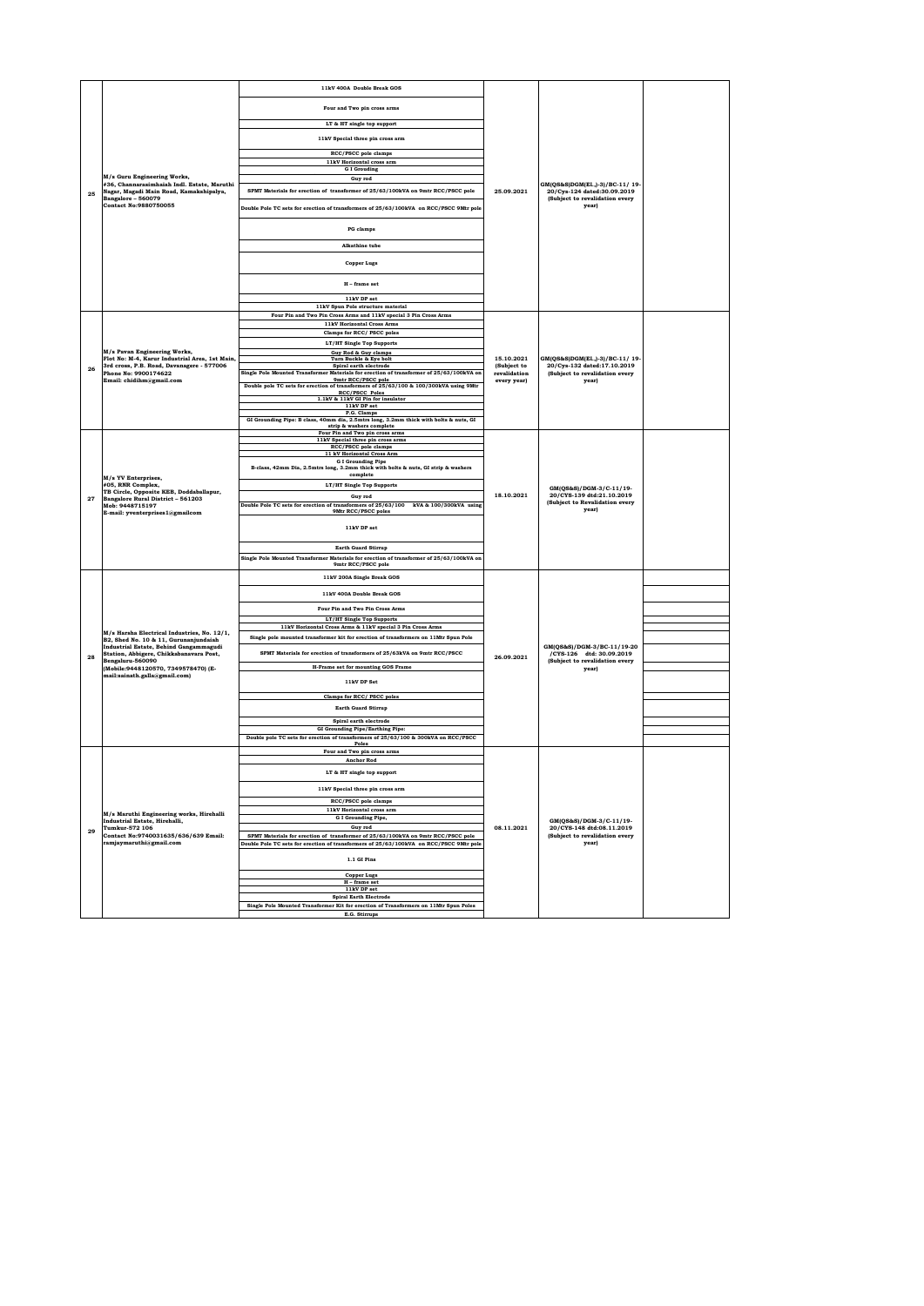|    |                                                                                          | 11kV 400A Double Break GOS                                                                                                             |                             |                                                                                                 |  |
|----|------------------------------------------------------------------------------------------|----------------------------------------------------------------------------------------------------------------------------------------|-----------------------------|-------------------------------------------------------------------------------------------------|--|
|    |                                                                                          | Four and Two pin cross arms                                                                                                            |                             |                                                                                                 |  |
|    |                                                                                          | LT & HT single top support                                                                                                             |                             |                                                                                                 |  |
|    |                                                                                          | 11kV Special three pin cross arm                                                                                                       |                             |                                                                                                 |  |
|    |                                                                                          | RCC/PSCC pole clamps                                                                                                                   |                             |                                                                                                 |  |
|    |                                                                                          | 11kV Horizontal cross arm                                                                                                              |                             |                                                                                                 |  |
|    | M/s Guru Engineering Works,                                                              | <b>G</b> I Grouding                                                                                                                    |                             |                                                                                                 |  |
|    | #36, Channarasimhaiah Indl. Estate, Maruthi                                              | Guy rod                                                                                                                                |                             | GM(QS&S)DGM(El.,)-3)/BC-11/19-                                                                  |  |
| 25 | Nagar, Magadi Main Road, Kamakshipalya,<br>Bangalore - 560079<br>Contact No:9880750055   | SPMT Materials for erection of transformer of 25/63/100kVA on 9mtr RCC/PSCC pole                                                       | 25.09.2021                  | 20/Cvs-124 dated:30.09.2019<br>(Subject to revalidation every<br>year)                          |  |
|    |                                                                                          | Double Pole TC sets for erection of transformers of 25/63/100kVA on RCC/PSCC 9Mtr pole                                                 |                             |                                                                                                 |  |
|    |                                                                                          | PG clamps                                                                                                                              |                             |                                                                                                 |  |
|    |                                                                                          | Alkathine tube                                                                                                                         |                             |                                                                                                 |  |
|    |                                                                                          | <b>Copper Lugs</b>                                                                                                                     |                             |                                                                                                 |  |
|    |                                                                                          | H - frame set                                                                                                                          |                             |                                                                                                 |  |
|    |                                                                                          | 11kV DP set                                                                                                                            |                             |                                                                                                 |  |
|    |                                                                                          | 11kV Spun Pole structure material                                                                                                      |                             |                                                                                                 |  |
|    |                                                                                          | Four Pin and Two Pin Cross Arms and 11kV special 3 Pin Cross Arms<br>11kV Horizontal Cross Arms                                        |                             |                                                                                                 |  |
|    |                                                                                          | Clamps for RCC/ PSCC poles                                                                                                             |                             |                                                                                                 |  |
|    |                                                                                          | LT/HT Single Top Supports                                                                                                              |                             |                                                                                                 |  |
|    | M/s Pavan Engineering Works,                                                             | Guy Rod & Guy clamps                                                                                                                   |                             |                                                                                                 |  |
|    | Flot No: M-4, Karur Industrial Area, 1st Main,                                           | Turn Buckle & Eye bolt                                                                                                                 | 15.10.2021                  | GM(QS&S)DGM(El.,)-3)/BC-11/19-                                                                  |  |
| 26 | 3rd cross, P.B. Road, Davanagere - 577006<br>Phone No: 9900174622                        | Spiral earth electrode<br>Single Pole Mounted Transformer Materials for erection of transformer of 25/63/100kVA on                     | (Subject to<br>revalidation | 20/Cys-132 dated:17.10.2019<br>(Subject to revalidation every                                   |  |
|    | Email: chidihm@gmail.com                                                                 | 9mtr RCC/PSCC pole                                                                                                                     | every year)                 | year)                                                                                           |  |
|    |                                                                                          | Double pole TC sets for erection of transformers of 25/63/100 & 100/300kVA using 9Mtr<br>RCC/PSCC Poles                                |                             |                                                                                                 |  |
|    |                                                                                          | 1.1kV & 11kV GI Pin for insulator                                                                                                      |                             |                                                                                                 |  |
|    |                                                                                          | 11kV DP set<br>P.G. Clamps                                                                                                             |                             |                                                                                                 |  |
|    |                                                                                          | GI Grounding Pipe: B class, 40mm dia, 2.5mtrs long, 3.2mm thick with bolts & nuts, GI                                                  |                             |                                                                                                 |  |
|    |                                                                                          | strip & washers complete<br>Four Pin and Two pin cross arms                                                                            |                             |                                                                                                 |  |
|    |                                                                                          | 11kV Special three pin cross arms                                                                                                      |                             |                                                                                                 |  |
|    |                                                                                          | RCC/PSCC pole clamps<br>11 kV Horizontal Cross Arm                                                                                     |                             |                                                                                                 |  |
|    |                                                                                          | $$\sf G$ I Grounding Pipe $$\sf G$ I Grounding Pipe B-class, 42mm Dia, 2.5mtrs long, 3.2mm thick with bolts & nuts, GI strip & washers |                             | GM(QS&S)/DGM-3/C-11/19-<br>20/CYS-139 dtd:21.10.2019<br>(Subject to Revalidation every<br>year) |  |
|    | M/s YV Enterprises,                                                                      | complete                                                                                                                               |                             |                                                                                                 |  |
|    | #05, RNR Complex,<br>TB Circle, Opposite KEB, Doddaballapur,                             | LT/HT Single Top Supports<br>Guy rod                                                                                                   | 18.10.2021                  |                                                                                                 |  |
| 27 | Bangalore Rural District - 561203<br>Mob: 9448715197                                     | Double Pole TC sets for erection of transformers of 25/63/100 kVA & 100/300kVA using                                                   |                             |                                                                                                 |  |
|    | E-mail: yventerprises1@gmailcom                                                          | 9Mtr RCC/PSCC poles                                                                                                                    |                             |                                                                                                 |  |
|    |                                                                                          | 11kV DP set                                                                                                                            |                             |                                                                                                 |  |
|    |                                                                                          | <b>Earth Guard Stirrup</b><br>Single Pole Mounted Transformer Materials for erection of transformer of 25/63/100kVA on                 |                             |                                                                                                 |  |
|    |                                                                                          | 9mtr RCC/PSCC pole                                                                                                                     |                             |                                                                                                 |  |
|    |                                                                                          | 11kV 200A Single Break GOS                                                                                                             |                             |                                                                                                 |  |
|    |                                                                                          | 11kV 400A Double Break GOS                                                                                                             |                             |                                                                                                 |  |
|    |                                                                                          | Four Pin and Two Pin Cross Arms                                                                                                        |                             |                                                                                                 |  |
|    |                                                                                          | LT/HT Single Top Supports                                                                                                              |                             |                                                                                                 |  |
|    | M/s Harsha Electrical Industries, No. 12/1,                                              | 11kV Horizontal Cross Arms & 11kV special 3 Pin Cross Arms                                                                             |                             |                                                                                                 |  |
|    | B2, Shed No. 10 & 11, Gurunanjundaiah                                                    | Single pole mounted transformer kit for erection of transformers on 11Mtr Spun Pole                                                    |                             |                                                                                                 |  |
| 28 | <b>Industrial Estate, Behind Gangammagudi</b><br>Station, Abbigere, Chikkabanavara Post, | SPMT Materials for erection of transformers of 25/63kVA on 9mtr RCC/PSCC                                                               | 26.09.2021                  | GM(QS&S)/DGM-3/BC-11/19-20<br>/CYS-126 dtd: 30.09.2019                                          |  |
|    | Bengaluru-560090<br>(Mobile:9448120570, 7349578470) (E-                                  | <b>H-Frame set for mounting GOS Frame</b>                                                                                              |                             | (Subject to revalidation every<br>year)                                                         |  |
|    | mail:sainath.galla@gmail.com)                                                            | $11\mathrm{kV}$ DP Set                                                                                                                 |                             |                                                                                                 |  |
|    |                                                                                          | Clamps for RCC/ PSCC poles                                                                                                             |                             |                                                                                                 |  |
|    |                                                                                          | <b>Earth Guard Stirrun</b>                                                                                                             |                             |                                                                                                 |  |
|    |                                                                                          | Spiral earth electrode                                                                                                                 |                             |                                                                                                 |  |
|    |                                                                                          | GI Grounding Pipe/Earthing Pipe:                                                                                                       |                             |                                                                                                 |  |
|    |                                                                                          | Double pole TC sets for erection of transformers of 25/63/100 & 300kVA on RCC/PSCC                                                     |                             |                                                                                                 |  |
|    |                                                                                          | Poles<br>Four and Two pin cross arms                                                                                                   |                             |                                                                                                 |  |
|    |                                                                                          | <b>Anchor Rod</b><br>LT & HT single top support                                                                                        |                             |                                                                                                 |  |
|    |                                                                                          | 11kV Special three pin cross arm                                                                                                       |                             |                                                                                                 |  |
|    |                                                                                          | RCC/PSCC pole clamps                                                                                                                   |                             |                                                                                                 |  |
|    | M/s Maruthi Engineering works, Hirehalli                                                 | 11kV Horizontal cross arm                                                                                                              |                             |                                                                                                 |  |
|    | Industrial Estate, Hirehalli,                                                            | <b>GI</b> Grounding Pipe,<br>Guy rod                                                                                                   |                             | GM(QS&S)/DGM-3/C-11/19-                                                                         |  |
| 29 | Tumkur-572 106<br>Contact No:9740031635/636/639 Email:<br>ramjaymaruthi@gmail.com        | SPMT Materials for erection of transformer of 25/63/100kVA on 9mtr RCC/PSCC pole                                                       | 08.11.2021                  | 20/CYS-148 dtd:08.11.2019<br>(Subject to revalidation every<br>year)                            |  |
|    |                                                                                          | Double Pole TC sets for erection of transformers of 25/63/100kVA on RCC/PSCC 9Mtr pole                                                 |                             |                                                                                                 |  |
|    |                                                                                          | 1.1 GI Pins                                                                                                                            |                             |                                                                                                 |  |
|    |                                                                                          | <b>Copper Lugs</b><br>$H$ – frame set                                                                                                  |                             |                                                                                                 |  |
|    |                                                                                          | 11kV DP set                                                                                                                            |                             |                                                                                                 |  |
|    |                                                                                          | <b>Spiral Earth Electrode</b>                                                                                                          |                             |                                                                                                 |  |
|    |                                                                                          | Single Pole Mounted Transformer Kit for erection of Transformers on 11Mtr Spun Poles<br>E.G. Stirrups                                  |                             |                                                                                                 |  |
|    |                                                                                          |                                                                                                                                        |                             |                                                                                                 |  |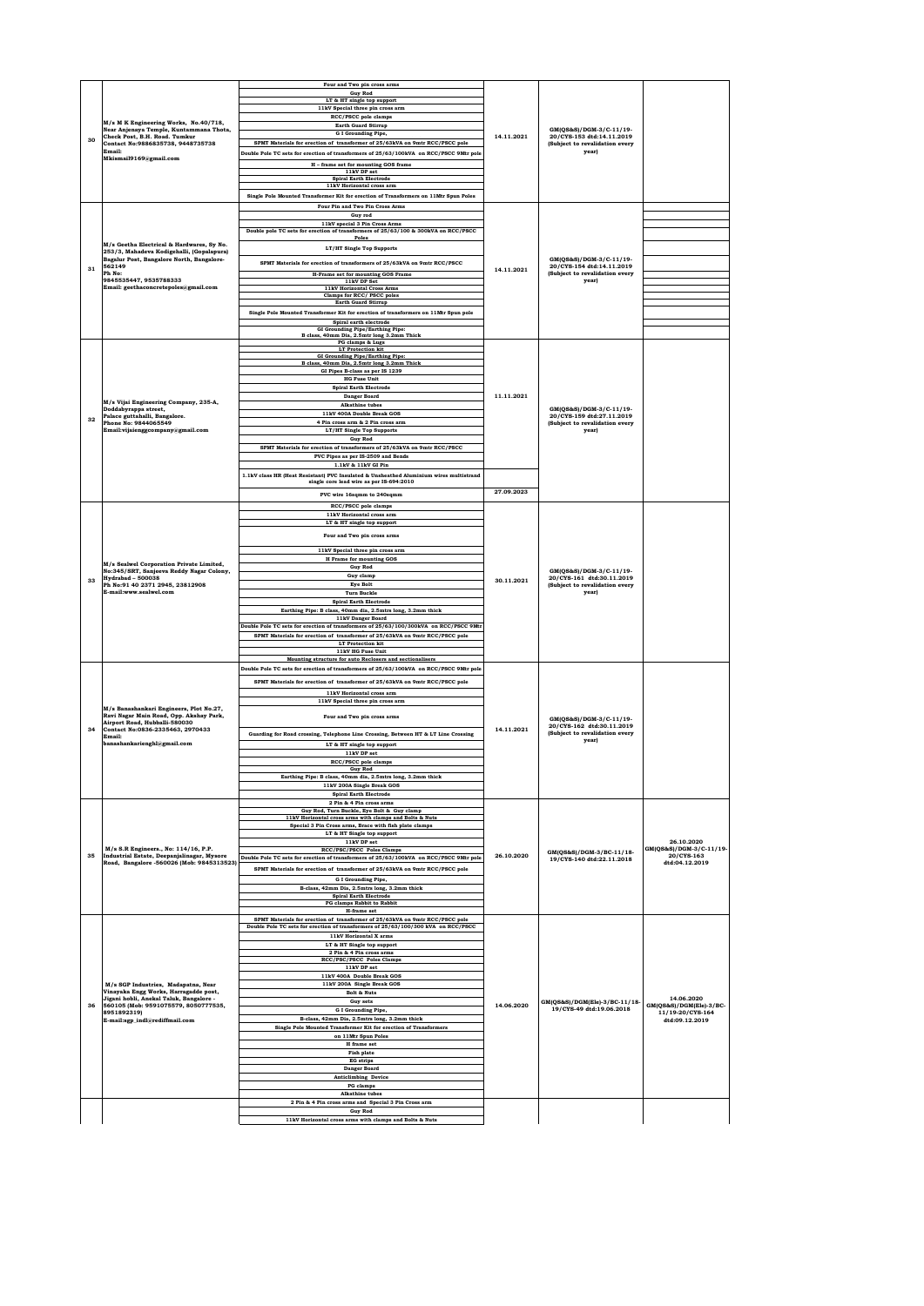|    |                                                                                         | Four and Two pin cross arms<br><b>Guy Rod</b>                                                                                                                     |            |                                                             |                                             |
|----|-----------------------------------------------------------------------------------------|-------------------------------------------------------------------------------------------------------------------------------------------------------------------|------------|-------------------------------------------------------------|---------------------------------------------|
|    |                                                                                         | LT & HT single top support                                                                                                                                        |            |                                                             |                                             |
|    |                                                                                         | 11kV Special three pin cross arm<br>RCC/PSCC pole clamps                                                                                                          |            |                                                             |                                             |
|    | M/s M K Engineering Works, No.40/718,<br>Near Anjenaya Temple, Kuntammana Thota,        | <b>Earth Guard Stirrup</b>                                                                                                                                        |            | GM(QS&S)/DGM-3/C-11/19-                                     |                                             |
| 30 | Check Post, B.H. Road. Tumkur<br>Contact No:9886835738, 9448735738                      | G I Grounding Pipe,<br>SPMT Materials for erection of transformer of 25/63kVA on 9mtr RCC/PSCC pole                                                               | 14.11.2021 | 20/CYS-153 dtd:14.11.2019<br>(Subject to revalidation every |                                             |
|    | Email:                                                                                  | Double Pole TC sets for erection of transformers of 25/63/100kVA on RCC/PSCC 9Mtr pole                                                                            |            | year)                                                       |                                             |
|    | Mkismail9169@gmail.com                                                                  | H - frame set for mounting GOS frame                                                                                                                              |            |                                                             |                                             |
|    |                                                                                         | 11kV DP set<br><b>Spiral Earth Electrode</b>                                                                                                                      |            |                                                             |                                             |
|    |                                                                                         | 11kV Horizontal cross arm                                                                                                                                         |            |                                                             |                                             |
|    |                                                                                         | Single Pole Mounted Transformer Kit for erection of Transformers on 11Mtr Spun Poles                                                                              |            |                                                             |                                             |
|    |                                                                                         | Four Pin and Two Pin Cross Arms<br>Guy rod                                                                                                                        |            |                                                             |                                             |
|    |                                                                                         | 11kV special 3 Pin Cross Arms<br>Double pole TC sets for erection of transformers of 25/63/100 & 300kVA on RCC/PSCC                                               |            |                                                             |                                             |
|    | M/s Geetha Electrical & Hardwares, Sv No.                                               | Poles                                                                                                                                                             |            |                                                             |                                             |
|    | 253/3, Mahadeva Kodigehalli, (Gopalapura)                                               | LT/HT Single Top Supports                                                                                                                                         |            |                                                             |                                             |
| 31 | Bagalur Post, Bangalore North, Bangalore-<br>562149                                     | SPMT Materials for erection of transformers of 25/63kVA on 9mtr RCC/PSCC                                                                                          | 14.11.2021 | GM(QS&S)/DGM-3/C-11/19-<br>20/CYS-154 dtd:14.11.2019        |                                             |
|    | Ph No:<br>9845535447, 9535788333                                                        | H-Frame set for mounting GOS Frame<br>11kV DP Set                                                                                                                 |            | (Subject to revalidation every<br>year)                     |                                             |
|    | Email: geethaconcretepoles@gmail.com                                                    | 11kV Horizontal Cross Arms                                                                                                                                        |            |                                                             |                                             |
|    |                                                                                         | Clamps for RCC/ PSCC poles<br><b>Earth Guard Stirrup</b>                                                                                                          |            |                                                             |                                             |
|    |                                                                                         | Single Pole Mounted Transformer Kit for erection of transformers on 11Mtr Spun pole                                                                               |            |                                                             |                                             |
|    |                                                                                         | Spiral earth electrode<br><b>GI Grounding Pipe/Earthing Pipe:</b>                                                                                                 |            |                                                             |                                             |
|    |                                                                                         | B class, 40mm Dia, 2.5mtr long 3.2mm Thick<br>PG clamps & Lugs                                                                                                    |            |                                                             |                                             |
|    |                                                                                         | <b>LT</b> Protection kit<br>GI Grounding Pipe/Earthing Pipe:                                                                                                      |            |                                                             |                                             |
|    |                                                                                         | B class, 40mm Dia, 2.5mtr long 3.2mm Thick                                                                                                                        |            |                                                             |                                             |
|    |                                                                                         | GI Pipes B-class as per IS 1239<br><b>HG</b> Fuse Unit                                                                                                            |            |                                                             |                                             |
|    |                                                                                         | <b>Spiral Earth Electrode</b>                                                                                                                                     |            |                                                             |                                             |
|    | M/s Vijai Engineering Company, 235-A,                                                   | Danger Board<br>Alkathine tubes                                                                                                                                   | 11.11.2021 |                                                             |                                             |
| 32 | Doddabyrappa street,<br>Palace guttahalli, Bangalore.                                   | 11kV 400A Double Break GOS                                                                                                                                        |            | GM(QS&S)/DGM-3/C-11/19-<br>20/CYS-159 dtd:27.11.2019        |                                             |
|    | Phone No: 9844065549<br>Email:vijaienggcompany@gmail.com                                | 4 Pin cross arm & 2 Pin cross arm                                                                                                                                 |            | (Subject to revalidation every<br>year)                     |                                             |
|    |                                                                                         | LT/HT Single Top Supports<br><b>Guy Rod</b>                                                                                                                       |            |                                                             |                                             |
|    |                                                                                         | SPMT Materials for erection of transformers of 25/63kVA on 9mtr RCC/PSCC                                                                                          |            |                                                             |                                             |
|    |                                                                                         | PVC Pipes as per IS-2509 and Bends<br>$1.1\mathrm{kV}$ & $11\mathrm{kV}$ GI Pin                                                                                   |            |                                                             |                                             |
|    |                                                                                         | 1.1kV class HR (Heat Resistant) PVC Insulated & Unsheathed Aluminium wires multistrand                                                                            |            |                                                             |                                             |
|    |                                                                                         | single core lead wire as per IS-694:2010                                                                                                                          | 27.09.2023 |                                                             |                                             |
|    |                                                                                         | PVC wire 16sqmm to 240sqmm                                                                                                                                        |            |                                                             |                                             |
|    |                                                                                         | RCC/PSCC pole clamps<br>11kV Horizontal cross arm                                                                                                                 |            |                                                             |                                             |
|    |                                                                                         | LT & HT single top support                                                                                                                                        |            |                                                             |                                             |
|    |                                                                                         | Four and Two pin cross arms                                                                                                                                       |            |                                                             |                                             |
|    |                                                                                         | 11kV Special three pin cross arm                                                                                                                                  |            |                                                             |                                             |
|    | M/s Sealwel Corporation Private Limited,                                                | H Frame for mounting GOS<br><b>Guy Rod</b>                                                                                                                        |            |                                                             |                                             |
|    | No:345/SRT, Sanjeeva Reddy Nagar Colony,<br><b>Hydrabad - 500038</b>                    | Guy clamp                                                                                                                                                         |            | GM(OS&S)/DGM-3/C-11/19-<br>20/CYS-161 dtd:30.11.2019        |                                             |
| 33 | Ph No:91 40 2371 2945, 23812908                                                         | <b>Eye Bolt</b>                                                                                                                                                   | 30.11.2021 | (Subject to revalidation every                              |                                             |
|    | E-mail:www.sealwel.com                                                                  | <b>Turn Buckle</b><br><b>Spiral Earth Electrode</b>                                                                                                               |            | year)                                                       |                                             |
|    |                                                                                         | Earthing Pipe: B class, 40mm dia, 2.5mtrs long, 3.2mm thick                                                                                                       |            |                                                             |                                             |
|    |                                                                                         | 11kV Danger Board<br>Double Pole TC sets for erection of transformers of 25/63/100/300kVA on RCC/PSCC 9Mtr                                                        |            |                                                             |                                             |
|    |                                                                                         | SPMT Materials for erection of transformer of 25/63kVA on 9mtr RCC/PSCC pole                                                                                      |            |                                                             |                                             |
|    |                                                                                         | <b>LT</b> Protection kit<br>11kV HG Fuse Unit                                                                                                                     |            |                                                             |                                             |
|    |                                                                                         | Mounting structure for auto Reclosers and sectionalisers                                                                                                          |            |                                                             |                                             |
|    |                                                                                         | Double Pole TC sets for erection of transformers of 25/63/100kVA on RCC/PSCC 9Mtr pole                                                                            |            |                                                             |                                             |
|    |                                                                                         | SPMT Materials for erection of transformer of 25/63kVA on 9mtr RCC/PSCC pole                                                                                      |            |                                                             |                                             |
|    |                                                                                         | 11kV Horizontal cross arm<br>11kV Special three pin cross arm                                                                                                     |            |                                                             |                                             |
|    | M/s Banashankari Engineers, Plot No.27,<br>Ravi Nagar Main Road, Opp. Akshay Park,      |                                                                                                                                                                   |            |                                                             |                                             |
| 34 | Airport Road, Hubballi-580030                                                           | Four and Two pin cross arms                                                                                                                                       |            | GM(OS&S)/DGM-3/C-11/19-<br>20/CYS-162 dtd:30.11.2019        |                                             |
|    | Contact No:0836-2335463, 2970433<br>Email:                                              | Guarding for Road crossing, Telephone Line Crossing, Between HT & LT Line Crossing                                                                                | 14.11.2021 | (Subject to revalidation every<br>year)                     |                                             |
|    | banashankarienghl@gmail.com                                                             | LT & HT single top support<br>11kV DP set                                                                                                                         |            |                                                             |                                             |
|    |                                                                                         | RCC/PSCC pole clamps                                                                                                                                              |            |                                                             |                                             |
|    |                                                                                         | <b>Guy Rod</b><br>Earthing Pipe: B class, 40mm dia, 2.5mtrs long, 3.2mm thick                                                                                     |            |                                                             |                                             |
|    |                                                                                         | 11kV 200A Single Break GOS                                                                                                                                        |            |                                                             |                                             |
|    |                                                                                         | <b>Spiral Earth Electrode</b><br>2 Pin & 4 Pin cross arms                                                                                                         |            |                                                             |                                             |
|    |                                                                                         | Guy Rod, Turn Buckle, Eye Bolt & Guy clamp                                                                                                                        |            |                                                             |                                             |
|    |                                                                                         | 11kV Horizontal cross arms with clamps and Bolts & Nuts<br>Special 3 Pin Cross arms, Brace with fish plate clamps                                                 |            |                                                             |                                             |
|    |                                                                                         | LT & HT Single top support                                                                                                                                        |            |                                                             |                                             |
|    | M/s S.R Engineers., No: 114/16, P.P.                                                    | 11kV DP set<br>RCC/PSC/PSCC Poles Clamps                                                                                                                          |            | GM(QS&S)/DGM-3/BC-11/18-                                    | 26.10.2020<br>GM(QS&S)/DGM-3/C-11/19-       |
| 35 | Industrial Estate, Deepanjalinagar, Mysore<br>Road, Bangalore -560026 (Mob: 9845313523) | Double Pole TC sets for erection of transformers of 25/63/100kVA on RCC/PSCC 9Mtr pole                                                                            | 26.10.2020 | 19/CYS-140 dtd:22.11.2018                                   | 20/CYS-163<br>dtd:04.12.2019                |
|    |                                                                                         | SPMT Materials for erection of transformer of 25/63kVA on 9mtr RCC/PSCC pole                                                                                      |            |                                                             |                                             |
|    |                                                                                         | G I Grounding Pipe,<br>B-class, 42mm Dia, 2.5mtrs long, 3.2mm thick                                                                                               |            |                                                             |                                             |
|    |                                                                                         | <b>Spiral Earth Electrode</b>                                                                                                                                     |            |                                                             |                                             |
|    |                                                                                         | PG clamps Rabbit to Rabbit<br>H-frame set                                                                                                                         |            |                                                             |                                             |
|    |                                                                                         | SPMT Materials for erection of transformer of 25/63kVA on 9mtr RCC/PSCC pole<br>Double Pole TC sets for erection of transformers of 25/63/100/300 kVA on RCC/PSCC |            |                                                             |                                             |
|    |                                                                                         | 11kV Horizontal X arms                                                                                                                                            |            |                                                             |                                             |
|    |                                                                                         | $\mathop{\rm LT}\nolimits$ & HT Single top support                                                                                                                |            |                                                             |                                             |
|    |                                                                                         | 2 Pin & 4 Pin cross arms<br>RCC/PSC/PSCC Poles Clamps                                                                                                             |            |                                                             |                                             |
|    |                                                                                         | 11kV DP set                                                                                                                                                       |            |                                                             |                                             |
|    | M/s SGP Industries, Madapatna, Near                                                     | 11kV 400A Double Break GOS<br>11kV 200A Single Break GOS                                                                                                          |            |                                                             |                                             |
|    | Vinayaka Engg Works, Harragadde post,<br>Jigani hobli, Anekal Taluk, Bangalore -        | <b>Bolt &amp; Nuts</b>                                                                                                                                            |            |                                                             | 14.06.2020                                  |
| 36 | 560105 (Mob: 9591075579, 8050777535,<br>8951892319)                                     | Guy sets<br><b>G I Grounding Pipe,</b>                                                                                                                            | 14.06.2020 | GM(QS&S)/DGM(Ele)-3/BC-11/18-<br>19/CYS-49 dtd:19.06.2018   | GM(QS&S)/DGM(Ele)-3/BC-<br>11/19-20/CYS-164 |
|    | E-mail:sgp_indl@rediffmail.com                                                          | B-class, 42mm Dia, 2.5mtrs long, 3.2mm thick                                                                                                                      |            |                                                             | dtd:09.12.2019                              |
|    |                                                                                         | Single Pole Mounted Transformer Kit for erection of Transformers<br>on 11Mtr Spun Poles                                                                           |            |                                                             |                                             |
|    |                                                                                         | H frame set                                                                                                                                                       |            |                                                             |                                             |
|    |                                                                                         | Fish plate<br><b>EG</b> strips                                                                                                                                    |            |                                                             |                                             |
|    |                                                                                         | <b>Danger Board</b>                                                                                                                                               |            |                                                             |                                             |
|    |                                                                                         | <b>Anticlimbing Device</b>                                                                                                                                        |            |                                                             |                                             |
|    |                                                                                         | PG clamps<br><b>Alkathine</b> tubes                                                                                                                               |            |                                                             |                                             |
|    |                                                                                         | 2 Pin & 4 Pin cross arms and Special 3 Pin Cross arm                                                                                                              |            |                                                             |                                             |
|    |                                                                                         | <b>Guy Rod</b><br>11kV Horizontal cross arms with clamps and Bolts & Nuts                                                                                         |            |                                                             |                                             |
|    |                                                                                         |                                                                                                                                                                   |            |                                                             |                                             |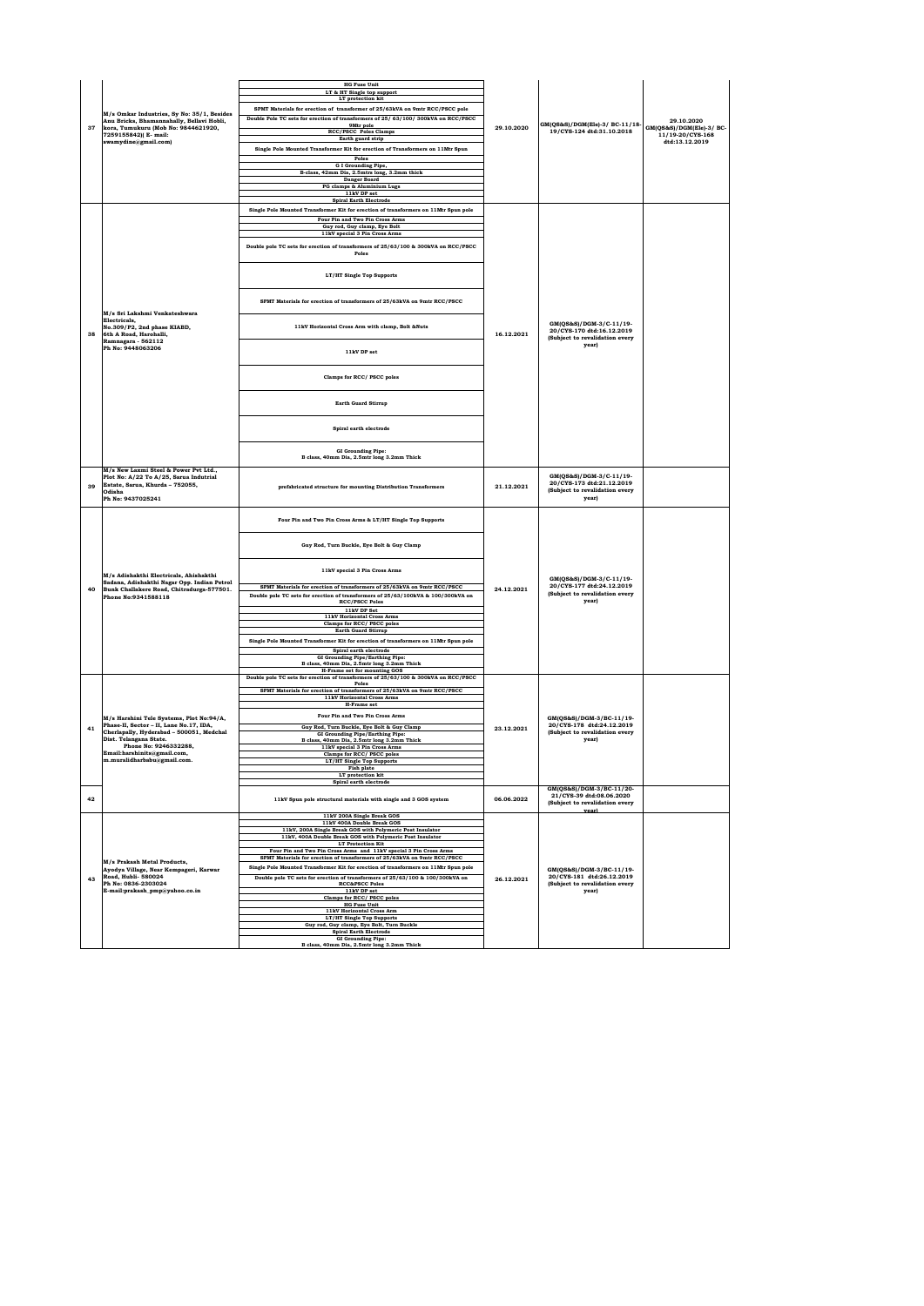| 37 | M/s Omkar Industries, Sy No: 35/1, Besides<br>Anu Bricks, Bhamannahally, Bellavi Hobli,<br>kora, Tumukuru (Mob No: 9844621920,<br>7259155842)( E- mail:<br>swamydine@gmail.com) | <b>HG</b> Fuse Unit<br>LT & HT Single top support<br>LT protection kit<br>SPMT Materials for erection of transformer of 25/63kVA on 9mtr RCC/PSCC pole<br>Double Pole TC sets for erection of transformers of 25/63/100/300kVA on RCC/PSCC<br>9Mtr pole<br>RCC/PSCC Poles Clamps<br>Earth guard strip<br>Single Pole Mounted Transformer Kit for erection of Transformers on 11Mtr Spun<br>Poles<br>G I Grounding Pipe,<br>B-class, 42mm Dia, 2.5mtrs long, 3.2mm thick<br><b>Danger Board</b> | 29.10.2020 | GM(QS&S)/DGM(Ele)-3/ BC-11/18-<br>19/CYS-124 dtd:31.10.2018                                     | 29.10.2020<br>GM(QS&S)/DGM(Ele)-3/ BC-<br>11/19-20/CYS-168<br>dtd:13.12.2019 |
|----|---------------------------------------------------------------------------------------------------------------------------------------------------------------------------------|------------------------------------------------------------------------------------------------------------------------------------------------------------------------------------------------------------------------------------------------------------------------------------------------------------------------------------------------------------------------------------------------------------------------------------------------------------------------------------------------|------------|-------------------------------------------------------------------------------------------------|------------------------------------------------------------------------------|
|    |                                                                                                                                                                                 | PG clamps & Aluminium Lugs<br>11kV DP set                                                                                                                                                                                                                                                                                                                                                                                                                                                      |            |                                                                                                 |                                                                              |
|    |                                                                                                                                                                                 | <b>Spiral Earth Electrode</b><br>Single Pole Mounted Transformer Kit for erection of transformers on 11Mtr Spun pole                                                                                                                                                                                                                                                                                                                                                                           |            |                                                                                                 |                                                                              |
|    |                                                                                                                                                                                 | Four Pin and Two Pin Cross Arms<br>Guy rod, Guy clamp, Eye Bolt                                                                                                                                                                                                                                                                                                                                                                                                                                |            |                                                                                                 |                                                                              |
|    |                                                                                                                                                                                 | 11kV special 3 Pin Cross Arms<br>Double pole TC sets for erection of transformers of 25/63/100 & 300kVA on RCC/PSCC<br>Poles                                                                                                                                                                                                                                                                                                                                                                   |            |                                                                                                 |                                                                              |
|    |                                                                                                                                                                                 | LT/HT Single Top Supports                                                                                                                                                                                                                                                                                                                                                                                                                                                                      |            |                                                                                                 |                                                                              |
|    | M/s Sri Lakshmi Venkateshwara                                                                                                                                                   | SPMT Materials for erection of transformers of 25/63kVA on 9mtr RCC/PSCC                                                                                                                                                                                                                                                                                                                                                                                                                       |            |                                                                                                 |                                                                              |
| 38 | Electricals.<br>No.309/P2, 2nd phase KIABD.<br>6th A Road, Harohalli.                                                                                                           | 11kV Horizontal Cross Arm with clamp, Bolt &Nuts                                                                                                                                                                                                                                                                                                                                                                                                                                               | 16.12.2021 | GM(QS&S)/DGM-3/C-11/19-<br>20/CYS-170 dtd:16.12.2019<br>(Subject to revalidation every          |                                                                              |
|    | Ramnagara - 562112<br>Ph No: 9448063206                                                                                                                                         | 11kV DP set                                                                                                                                                                                                                                                                                                                                                                                                                                                                                    |            | year)                                                                                           |                                                                              |
|    |                                                                                                                                                                                 | Clamps for RCC/ PSCC poles                                                                                                                                                                                                                                                                                                                                                                                                                                                                     |            |                                                                                                 |                                                                              |
|    |                                                                                                                                                                                 | <b>Earth Guard Stirrup</b>                                                                                                                                                                                                                                                                                                                                                                                                                                                                     |            |                                                                                                 |                                                                              |
|    |                                                                                                                                                                                 | Spiral earth electrode                                                                                                                                                                                                                                                                                                                                                                                                                                                                         |            |                                                                                                 |                                                                              |
|    |                                                                                                                                                                                 | GI Grounding Pipe:<br>B class, 40mm Dia, 2.5mtr long 3.2mm Thick                                                                                                                                                                                                                                                                                                                                                                                                                               |            |                                                                                                 |                                                                              |
| 39 | M/s New Laxmi Steel & Power Pvt Ltd.,<br>Plot No: A/22 To A/25, Sarua Indutrial<br>Estate, Sarua, Khurda - 752055,<br>Odisha<br>Ph No: 9437025241                               | prefabricated structure for mounting Distribution Transformers                                                                                                                                                                                                                                                                                                                                                                                                                                 | 21.12.2021 | GM(OS&S)/DGM-3/C-11/19-<br>20/CYS-173 dtd:21.12.2019<br>(Subject to revalidation every<br>year) |                                                                              |
|    |                                                                                                                                                                                 | Four Pin and Two Pin Cross Arms & LT/HT Single Top Supports                                                                                                                                                                                                                                                                                                                                                                                                                                    |            |                                                                                                 |                                                                              |
|    |                                                                                                                                                                                 | Guy Rod, Turn Buckle, Eye Bolt & Guy Clamp                                                                                                                                                                                                                                                                                                                                                                                                                                                     |            |                                                                                                 |                                                                              |
|    | M/s Adishakthi Electricals, Ahishakthi<br>Sadana, Adishakthi Nagar Opp. Indian Petrol                                                                                           | 11kV special 3 Pin Cross Arms                                                                                                                                                                                                                                                                                                                                                                                                                                                                  |            | GM(QS&S)/DGM-3/C-11/19-                                                                         |                                                                              |
| 40 | Bunk Challakere Road, Chitradurga-577501.<br>Phone No:9341588118                                                                                                                | SPMT Materials for erection of transformers of 25/63kVA on 9mtr RCC/PSCC<br>Double pole TC sets for erection of transformers of 25/63/100kVA & 100/300kVA on<br><b>RCC/PSCC Poles</b>                                                                                                                                                                                                                                                                                                          | 24.12.2021 | 20/CYS-177 dtd:24.12.2019<br>(Subject to revalidation every<br>year)                            |                                                                              |
|    |                                                                                                                                                                                 | 11kV DP Set<br>11kV Horizontal Cross Arms<br>Clamps for RCC/ PSCC poles                                                                                                                                                                                                                                                                                                                                                                                                                        |            |                                                                                                 |                                                                              |
|    |                                                                                                                                                                                 | <b>Earth Guard Stirrup</b><br>Single Pole Mounted Transformer Kit for erection of transformers on 11Mtr Spun pole                                                                                                                                                                                                                                                                                                                                                                              |            |                                                                                                 |                                                                              |
|    |                                                                                                                                                                                 | Spiral earth electrode                                                                                                                                                                                                                                                                                                                                                                                                                                                                         |            |                                                                                                 |                                                                              |
|    |                                                                                                                                                                                 | GI Grounding Pipe/Earthing Pipe:<br>B class, 40mm Dia, 2.5mtr long 3.2mm Thick<br><b>H-Frame set for mounting GOS</b>                                                                                                                                                                                                                                                                                                                                                                          |            |                                                                                                 |                                                                              |
|    |                                                                                                                                                                                 | Double pole TC sets for erection of transformers of 25/63/100 & 300kVA on RCC/PSCC<br>Poles                                                                                                                                                                                                                                                                                                                                                                                                    |            |                                                                                                 |                                                                              |
|    |                                                                                                                                                                                 | SPMT Materials for erection of transformers of 25/63kVA on 9mtr RCC/PSCC<br>11kV Horizontal Cross Arms<br>H-Frame set                                                                                                                                                                                                                                                                                                                                                                          |            |                                                                                                 |                                                                              |
|    | M/s Harshini Tele Systems, Plot No:94/A,<br>Phase-II, Sector - II, Lane No.17, IDA,                                                                                             | Four Pin and Two Pin Cross Arms                                                                                                                                                                                                                                                                                                                                                                                                                                                                |            | GM(OS&S)/DGM-3/BC-11/19-<br>20/CYS-178 dtd:24.12.2019                                           |                                                                              |
| 41 | Cherlapally, Hyderabad - 500051, Medchal<br>Dist. Telangana State.                                                                                                              | Guy Rod, Turn Buckle, Eye Bolt & Guy Clamp<br>GI Grounding Pipe/Earthing Pipe:<br>B class, 40mm Dia, 2.5mtr long 3.2mm Thick                                                                                                                                                                                                                                                                                                                                                                   | 23.12.2021 | (Subject to revalidation every<br>year)                                                         |                                                                              |
|    | Phone No: 9246332288.<br>Email:harshinits@gmail.com,                                                                                                                            | 11kV special 3 Pin Cross Arms<br>Clamps for RCC/ PSCC poles                                                                                                                                                                                                                                                                                                                                                                                                                                    |            |                                                                                                 |                                                                              |
|    | m.muralidharbabu@gmail.com.                                                                                                                                                     | LT/HT Single Top Supports<br>Fish plate                                                                                                                                                                                                                                                                                                                                                                                                                                                        |            |                                                                                                 |                                                                              |
|    |                                                                                                                                                                                 | LT protection kit<br>Spiral earth electrode                                                                                                                                                                                                                                                                                                                                                                                                                                                    |            |                                                                                                 |                                                                              |
| 42 |                                                                                                                                                                                 | 11kV Spun pole structural materials with single and 3 GOS system                                                                                                                                                                                                                                                                                                                                                                                                                               | 06.06.2022 | GM(QS&S)/DGM-3/BC-11/20-<br>21/CYS-39 dtd:08.06.2020<br>(Subject to revalidation every          |                                                                              |
|    |                                                                                                                                                                                 | 11kV 200A Single Break GOS<br>11kV 400A Double Break GOS                                                                                                                                                                                                                                                                                                                                                                                                                                       |            | vearl                                                                                           |                                                                              |
|    |                                                                                                                                                                                 | 11kV, 200A Single Break GOS with Polymeric Post Insulator<br>11kV, 400A Double Break GOS with Polymeric Post Insulator                                                                                                                                                                                                                                                                                                                                                                         |            |                                                                                                 |                                                                              |
|    |                                                                                                                                                                                 | <b>LT Protection Kit</b><br>Four Pin and Two Pin Cross Arms and 11kV special 3 Pin Cross Arms                                                                                                                                                                                                                                                                                                                                                                                                  |            |                                                                                                 |                                                                              |
|    | M/s Prakash Metal Products.                                                                                                                                                     | SPMT Materials for erection of transformers of 25/63kVA on 9mtr RCC/PSCC                                                                                                                                                                                                                                                                                                                                                                                                                       |            |                                                                                                 |                                                                              |
| 43 | Ayodya Village, Near Kempageri, Karwar<br>Road, Hubli- 580024                                                                                                                   | Single Pole Mounted Transformer Kit for erection of transformers on 11Mtr Spun pole<br>Double pole TC sets for erection of transformers of 25/63/100 & 100/300kVA on                                                                                                                                                                                                                                                                                                                           | 26.12.2021 | GM(QS&S)/DGM-3/BC-11/19-<br>20/CYS-181 dtd:26.12.2019                                           |                                                                              |
|    | Ph No: 0836-2303024<br>E-mail:prakash_pmp@yahoo.co.in                                                                                                                           | <b>RCC&amp;PSCC Poles</b><br>11kV DP set                                                                                                                                                                                                                                                                                                                                                                                                                                                       |            | (Subject to revalidation every<br>year)                                                         |                                                                              |
|    |                                                                                                                                                                                 | Clamps for RCC/ PSCC poles<br><b>HG Fuse Unit</b>                                                                                                                                                                                                                                                                                                                                                                                                                                              |            |                                                                                                 |                                                                              |
|    |                                                                                                                                                                                 | 11kV Horizontal Cross Arm<br>LT/HT Single Top Supports                                                                                                                                                                                                                                                                                                                                                                                                                                         |            |                                                                                                 |                                                                              |
|    |                                                                                                                                                                                 | Guy rod, Guy clamp, Eye Bolt, Turn Buckle<br><b>Spiral Earth Electrode</b>                                                                                                                                                                                                                                                                                                                                                                                                                     |            |                                                                                                 |                                                                              |
|    |                                                                                                                                                                                 | <b>GI</b> Grounding Pipe:<br>B class, 40mm Dia, 2.5mtr long 3.2mm Thick                                                                                                                                                                                                                                                                                                                                                                                                                        |            |                                                                                                 |                                                                              |
|    |                                                                                                                                                                                 |                                                                                                                                                                                                                                                                                                                                                                                                                                                                                                |            |                                                                                                 |                                                                              |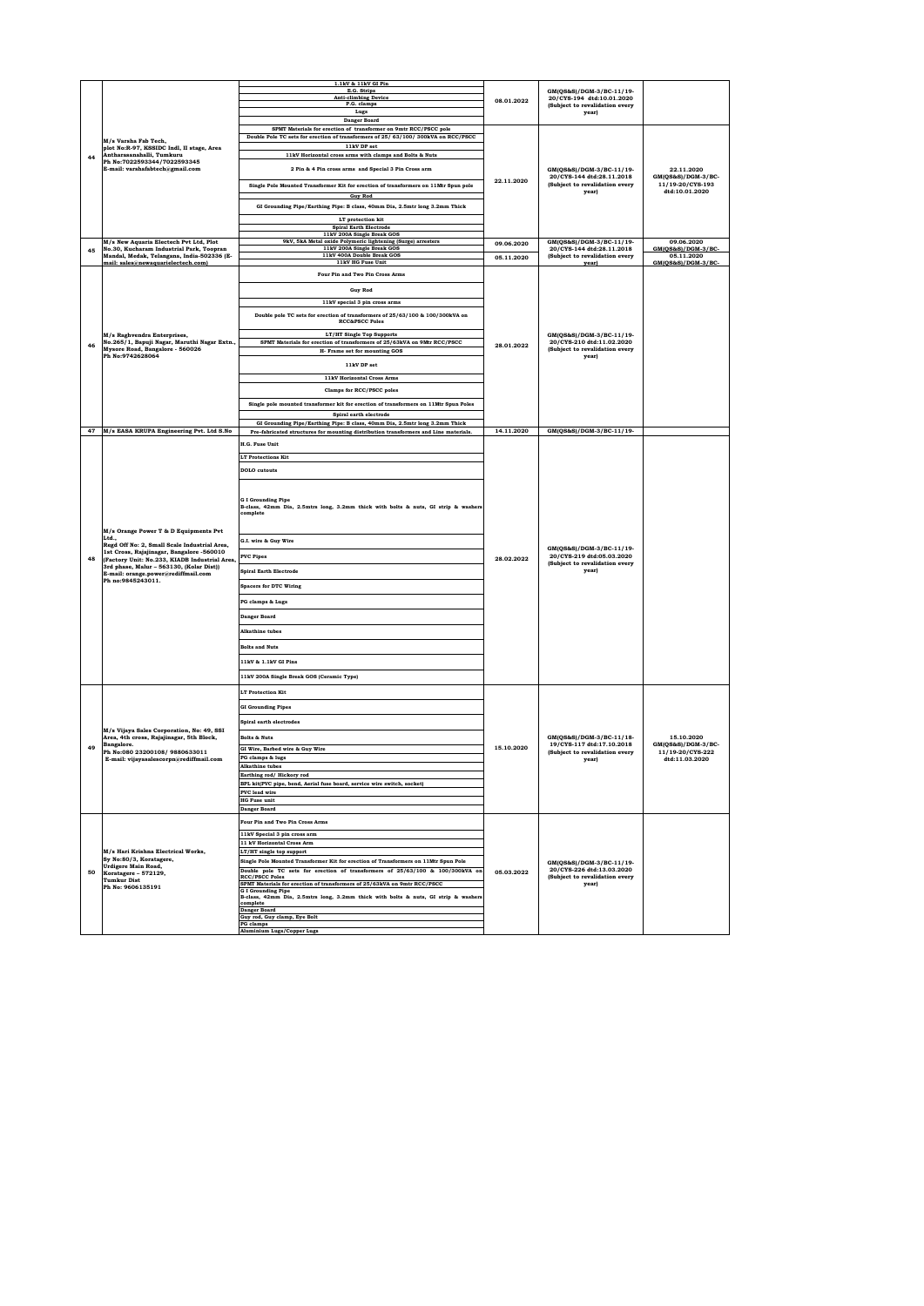|    |                                                                                            | 1.1kV & 11kV GI Pin                                                                                        |            |                                                                      |                                    |
|----|--------------------------------------------------------------------------------------------|------------------------------------------------------------------------------------------------------------|------------|----------------------------------------------------------------------|------------------------------------|
|    |                                                                                            | E.G. Strips                                                                                                |            | GM(QS&S)/DGM-3/BC-11/19-                                             |                                    |
|    |                                                                                            | <b>Anti-climbing Device</b><br>P.G. clamps                                                                 | 08.01.2022 | 20/CYS-194 dtd:10.01.2020                                            |                                    |
|    |                                                                                            | Lugs                                                                                                       |            | (Subject to revalidation every<br>year)                              |                                    |
|    |                                                                                            | Danger Board                                                                                               |            |                                                                      |                                    |
|    |                                                                                            | SPMT Materials for erection of transformer on 9mtr RCC/PSCC pole                                           |            |                                                                      |                                    |
|    | M/s Varsha Fab Tech.                                                                       | Double Pole TC sets for erection of transformers of 25/63/100/300kVA on RCC/PSCC                           |            |                                                                      |                                    |
|    | plot No:R-97, KSSIDC Indl, II stage, Area                                                  | 11kV DP set                                                                                                |            |                                                                      |                                    |
| 44 | Antharasanahalli, Tumkuru                                                                  | 11kV Horizontal cross arms with clamps and Bolts & Nuts                                                    |            |                                                                      |                                    |
|    | Ph No:7022593344/7022593345<br>E-mail: varshafabtech@gmail.com                             | 2 Pin & 4 Pin cross arms and Special 3 Pin Cross arm                                                       |            |                                                                      |                                    |
|    |                                                                                            |                                                                                                            |            | GM(QS&S)/DGM-3/BC-11/19-<br>20/CYS-144 dtd:28.11.2018                | 22.11.2020<br>GM(QS&S)/DGM-3/BC-   |
|    |                                                                                            | Single Pole Mounted Transformer Kit for erection of transformers on 11Mtr Spun pole                        | 22.11.2020 | (Subject to revalidation every                                       | 11/19-20/CYS-193                   |
|    |                                                                                            | <b>Guy Rod</b>                                                                                             |            | year)                                                                | dtd:10.01.2020                     |
|    |                                                                                            |                                                                                                            |            |                                                                      |                                    |
|    |                                                                                            | GI Grounding Pipe/Earthing Pipe: B class, 40mm Dia, 2.5mtr long 3.2mm Thick                                |            |                                                                      |                                    |
|    |                                                                                            | LT protection kit                                                                                          |            |                                                                      |                                    |
|    |                                                                                            | <b>Spiral Earth Electrode</b>                                                                              |            |                                                                      |                                    |
|    | M/s New Aquaria Electech Pvt Ltd, Plot                                                     | 11kV 200A Single Break GOS<br>9kV, 5kA Metal oxide Polymeric lightening (Surge) arresters                  | 09.06.2020 | GM(OS&S)/DGM-3/BC-11/19-                                             | 09.06.2020                         |
| 45 | No.30, Kucharam Industrial Park, Toopran                                                   | 11kV 200A Single Break GOS                                                                                 |            | 20/CYS-144 dtd:28.11.2018                                            | GM(OS&S)/DGM-3/BC                  |
|    | Mandal, Medak, Telangana, India-502336 (E-<br>mail: sales@newaguarielectech.com)           | 11kV 400A Double Break GOS<br>11kV HG Fuse Unit                                                            | 05.11.2020 | (Subject to revalidation every<br>vearl                              | 05.11.2020<br>GM(QS&S)/DGM-3/BC    |
|    |                                                                                            |                                                                                                            |            |                                                                      |                                    |
|    |                                                                                            | Four Pin and Two Pin Cross Arms                                                                            |            |                                                                      |                                    |
|    |                                                                                            | <b>Guy Rod</b>                                                                                             |            |                                                                      |                                    |
|    |                                                                                            |                                                                                                            |            |                                                                      |                                    |
|    |                                                                                            | 11kV special 3 pin cross arms                                                                              |            |                                                                      |                                    |
|    |                                                                                            | Double pole TC sets for erection of transformers of 25/63/100 & 100/300kVA on<br><b>RCC&amp;PSCC Poles</b> |            |                                                                      |                                    |
|    |                                                                                            |                                                                                                            |            |                                                                      |                                    |
|    | M/s Raghvendra Enterprises,                                                                | LT/HT Single Top Supports                                                                                  |            | GM(QS&S)/DGM-3/BC-11/19-                                             |                                    |
| 46 | No.265/1, Bapuji Nagar, Maruthi Nagar Extn.,<br>Mysore Road, Bangalore - 560026            | SPMT Materials for erection of transformers of 25/63kVA on 9Mtr RCC/PSCC                                   | 28.01.2022 | 20/CYS-210 dtd:11.02.2020<br>(Subject to revalidation every          |                                    |
|    | Ph No:9742628064                                                                           | H- Frame set for mounting GOS                                                                              |            | year)                                                                |                                    |
|    |                                                                                            | 11kV DP set                                                                                                |            |                                                                      |                                    |
|    |                                                                                            | 11kV Horizontal Cross Arms                                                                                 |            |                                                                      |                                    |
|    |                                                                                            |                                                                                                            |            |                                                                      |                                    |
|    |                                                                                            | Clamps for RCC/PSCC poles                                                                                  |            |                                                                      |                                    |
|    |                                                                                            | Single pole mounted transformer kit for erection of transformers on 11Mtr Spun Poles                       |            |                                                                      |                                    |
|    |                                                                                            | Spiral earth electrode                                                                                     |            |                                                                      |                                    |
|    |                                                                                            | GI Grounding Pipe/Earthing Pipe: B class, 40mm Dia, 2.5mtr long 3.2mm Thick                                |            |                                                                      |                                    |
| 47 | M/s EASA KRUPA Engineering Pvt. Ltd S.No                                                   | Pre-fabricated structures for mounting distribution transformers and Line materials.                       | 14.11.2020 | GM(QS&S)/DGM-3/BC-11/19-                                             |                                    |
|    |                                                                                            | H.G. Fuse Unit                                                                                             |            |                                                                      |                                    |
|    |                                                                                            |                                                                                                            |            |                                                                      |                                    |
|    |                                                                                            | <b>LT Protections Kit</b>                                                                                  |            |                                                                      |                                    |
|    |                                                                                            | <b>DOLO</b> cutouts                                                                                        |            |                                                                      |                                    |
|    |                                                                                            |                                                                                                            |            |                                                                      |                                    |
|    |                                                                                            |                                                                                                            |            |                                                                      |                                    |
|    |                                                                                            | <b>G</b> I Grounding Pipe                                                                                  |            |                                                                      |                                    |
|    |                                                                                            | B-class, 42mm Dia, 2.5mtrs long, 3.2mm thick with bolts & nuts, GI strip & washers<br>complete             |            |                                                                      |                                    |
|    |                                                                                            |                                                                                                            |            |                                                                      |                                    |
|    | M/s Orange Power T & D Equipments Pvt                                                      |                                                                                                            |            |                                                                      |                                    |
|    | Ltd.,                                                                                      | G.I. wire & Guy Wire                                                                                       |            |                                                                      |                                    |
|    | Regd Off No: 2, Small Scale Industrial Area,                                               |                                                                                                            |            | GM(QS&S)/DGM-3/BC-11/19-                                             |                                    |
| 48 | 1st Cross, Rajajinagar, Bangalore -560010<br>(Factory Unit: No.233, KIADB Industrial Area, | <b>PVC Pipes</b>                                                                                           | 28.02.2022 | 20/CYS-219 dtd:05.03.2020<br>(Subject to revalidation every<br>year) |                                    |
|    | 3rd phase, Malur - 563130, (Kolar Dist))                                                   | <b>Spiral Earth Electrode</b>                                                                              |            |                                                                      |                                    |
|    | E-mail: orange.power@rediffmail.com<br>Ph no:9845243011.                                   |                                                                                                            |            |                                                                      |                                    |
|    |                                                                                            | <b>Spacers for DTC Wiring</b>                                                                              |            |                                                                      |                                    |
|    |                                                                                            | PG clamps & Lugs                                                                                           |            |                                                                      |                                    |
|    |                                                                                            |                                                                                                            |            |                                                                      |                                    |
|    |                                                                                            | <b>Danger Board</b>                                                                                        |            |                                                                      |                                    |
|    |                                                                                            | Alkathine tubes                                                                                            |            |                                                                      |                                    |
|    |                                                                                            |                                                                                                            |            |                                                                      |                                    |
|    |                                                                                            | <b>Bolts and Nuts</b>                                                                                      |            |                                                                      |                                    |
|    |                                                                                            |                                                                                                            |            |                                                                      |                                    |
|    |                                                                                            | 11kV & 1.1kV GI Pins                                                                                       |            |                                                                      |                                    |
|    |                                                                                            | 11kV 200A Single Break GOS (Ceramic Type)                                                                  |            |                                                                      |                                    |
|    |                                                                                            |                                                                                                            |            |                                                                      |                                    |
|    |                                                                                            | <b>LT Protection Kit</b>                                                                                   |            |                                                                      |                                    |
|    |                                                                                            | <b>GI Grounding Pipes</b>                                                                                  |            |                                                                      |                                    |
|    |                                                                                            |                                                                                                            |            |                                                                      |                                    |
|    | M/s Vijaya Sales Corporation, No: 49, SSI                                                  | Spiral earth electrodes                                                                                    |            |                                                                      |                                    |
|    | Area, 4th cross, Rajajinagar, 5th Block,                                                   | <b>Bolts &amp; Nuts</b>                                                                                    |            | GM(QS&S)/DGM-3/BC-11/18-                                             | 15.10.2020                         |
| 49 | Bangalore.                                                                                 | GI Wire, Barbed wire & Guy Wire                                                                            | 15.10.2020 | 19/CYS-117 dtd:17.10.2018                                            | $GM(QS\&S)/DGM-3/BC-$              |
|    | Ph No:080 23200108/9880633011<br>E-mail: vijayasalescorpn@rediffmail.com                   | PG clamps & lugs                                                                                           |            | (Subject to revalidation every<br>year)                              | 11/19-20/CYS-222<br>dtd:11.03.2020 |
|    |                                                                                            | <b>Alkathine</b> tubes                                                                                     |            |                                                                      |                                    |
|    |                                                                                            | <b>Sarthing rod/ Hickory rod</b>                                                                           |            |                                                                      |                                    |
|    |                                                                                            | BPL kit(PVC pipe, bend, Aerial fuse board, service wire switch, socket)                                    |            |                                                                      |                                    |
|    |                                                                                            | PVC lead wire                                                                                              |            |                                                                      |                                    |
|    |                                                                                            | <b>HG</b> Fuse unit                                                                                        |            |                                                                      |                                    |
|    |                                                                                            | <b>Danger Board</b>                                                                                        |            |                                                                      |                                    |
|    |                                                                                            | Four Pin and Two Pin Cross Arms                                                                            |            |                                                                      |                                    |
|    |                                                                                            | 11kV Special 3 pin cross arm                                                                               |            |                                                                      |                                    |
|    |                                                                                            | 11 kV Horizontal Cross Arm                                                                                 |            |                                                                      |                                    |
|    | M/s Hari Krishna Electrical Works,                                                         | LT/HT single top support                                                                                   |            |                                                                      |                                    |
|    | Sy No:80/3, Koratagere,<br>Urdigere Main Road,                                             | Single Pole Mounted Transformer Kit for erection of Transformers on 11Mtr Spun Pole                        |            | GM(OS&S)/DGM-3/BC-11/19-                                             |                                    |
| 50 | Koratagere - 572129,                                                                       | Double pole TC sets for erection of transformers of 25/63/100 & 100/300kVA on                              | 05.03.2022 | 20/CYS-226 dtd:13.03.2020                                            |                                    |
|    | <b>Tumkur Dist</b>                                                                         | <b>RCC/PSCC Poles</b><br>SPMT Materials for erection of transformers of 25/63kVA on 9mtr RCC/PSCC          |            | (Subject to revalidation every<br>year)                              |                                    |
|    | Ph No: 9606135191                                                                          | <b>GI</b> Grounding Pipe                                                                                   |            |                                                                      |                                    |
|    |                                                                                            | B-class, 42mm Dia, 2.5mtrs long, 3.2mm thick with bolts & nuts, GI strip & washers<br>complete             |            |                                                                      |                                    |
|    |                                                                                            | <b>Danger Board</b>                                                                                        |            |                                                                      |                                    |
|    |                                                                                            | Guy rod, Guy clamp, Eye Bolt<br>PG clamps                                                                  |            |                                                                      |                                    |
|    |                                                                                            | <b>Aluminium Lugs/Copper Lugs</b>                                                                          |            |                                                                      |                                    |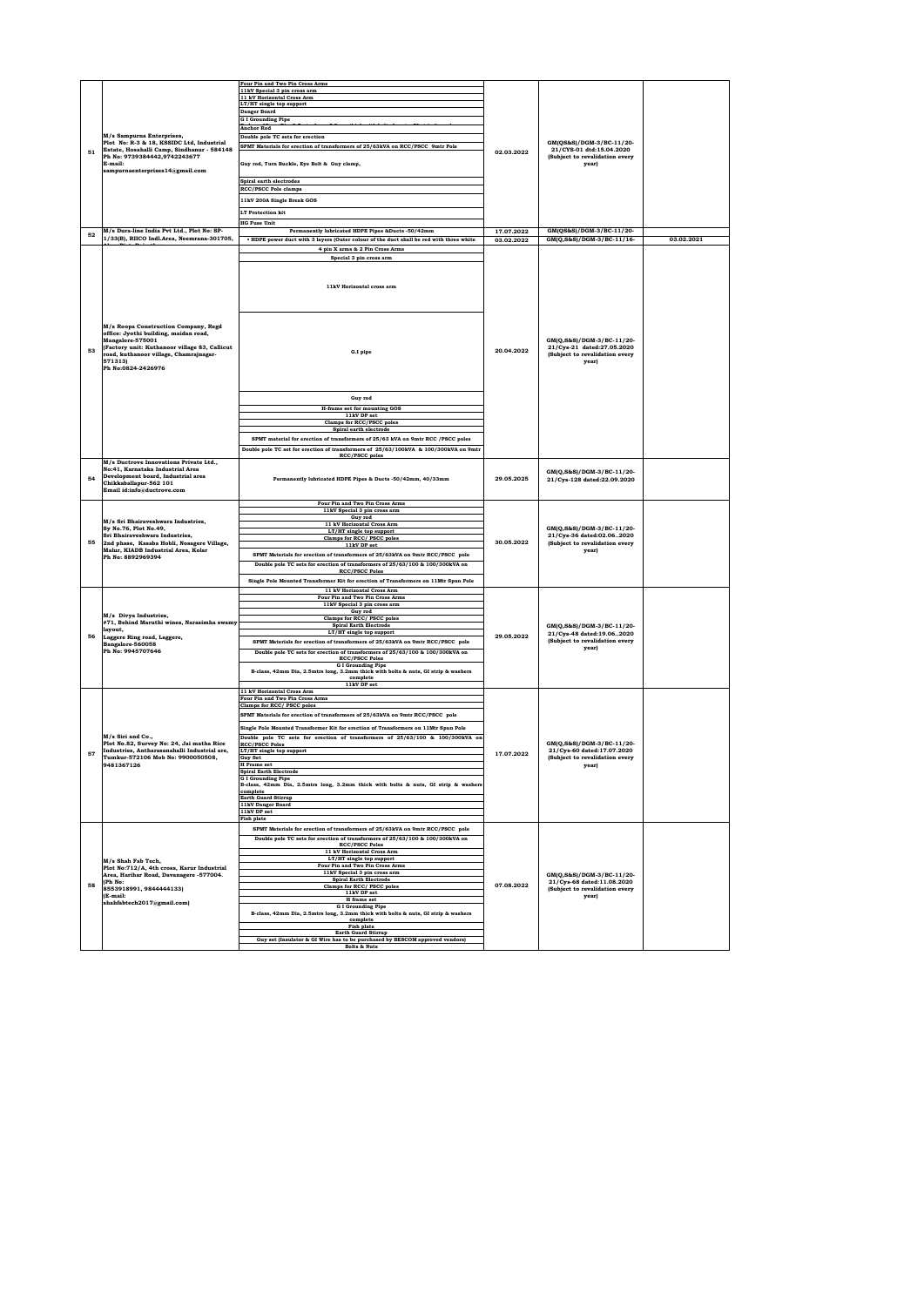|    |                                                                                         | Four Pin and Two Pin Cross Arms                                                                                |            |                                                      |            |
|----|-----------------------------------------------------------------------------------------|----------------------------------------------------------------------------------------------------------------|------------|------------------------------------------------------|------------|
|    |                                                                                         | 11kV Special 3 pin cross arm                                                                                   |            |                                                      |            |
|    |                                                                                         | 11 kV Horizontal Cross Arm                                                                                     |            |                                                      |            |
|    |                                                                                         | LT/HT single top support                                                                                       |            |                                                      |            |
|    |                                                                                         | <b>Danger Board</b>                                                                                            |            |                                                      |            |
|    |                                                                                         | <b>GI</b> Grounding Pipe                                                                                       |            |                                                      |            |
|    |                                                                                         | <b>Anchor Rod</b>                                                                                              |            |                                                      |            |
|    | M/s Sampurna Enterprises,                                                               | Double pole TC sets for erection                                                                               |            |                                                      |            |
|    | Plot No: R-3 & 18, KSSIDC Ltd, Industrial<br>Estate, Hosahalli Camp, Sindhanur - 584148 | SPMT Materials for erection of transformers of 25/63kVA on RCC/PSCC 9mtr Pole                                  |            | GM(QS&S)/DGM-3/BC-11/20-<br>21/CYS-01 dtd:15.04.2020 |            |
| 51 | Ph No: 9739384442,9742243677                                                            |                                                                                                                | 02.03.2022 | (Subject to revalidation every                       |            |
|    | E-mail:                                                                                 | Guy rod, Turn Buckle, Eye Bolt & Guy clamp,                                                                    |            | year)                                                |            |
|    | sampurnaenterprises14@gmail.com                                                         |                                                                                                                |            |                                                      |            |
|    |                                                                                         |                                                                                                                |            |                                                      |            |
|    |                                                                                         | Spiral earth electrodes<br>RCC/PSCC Pole clamps                                                                |            |                                                      |            |
|    |                                                                                         |                                                                                                                |            |                                                      |            |
|    |                                                                                         | 11kV 200A Single Break GOS                                                                                     |            |                                                      |            |
|    |                                                                                         | <b>LT Protection kit</b>                                                                                       |            |                                                      |            |
|    |                                                                                         |                                                                                                                |            |                                                      |            |
|    |                                                                                         | <b>HG Fuse Unit</b>                                                                                            |            |                                                      |            |
| 52 | M/s Dura-line India Pvt Ltd., Plot No: SP-                                              | Permanently lubricated HDPE Pipes &Ducts -50/42mm                                                              | 17.07.2022 | GM(QS&S)/DGM-3/BC-11/20-                             |            |
|    | 1/33(B), RIICO Indl.Area, Neemrana-301705,                                              | * HDPE power duct with 3 layers (Outer colour of the duct shall be red with three white                        | 03.02.2022 | GM(Q,S&S)/DGM-3/BC-11/16-                            | 03.02.2021 |
|    |                                                                                         | 4 pin X arms & 2 Pin Cross Arms                                                                                |            |                                                      |            |
|    |                                                                                         | Special 3 pin cross arm                                                                                        |            |                                                      |            |
|    |                                                                                         |                                                                                                                |            |                                                      |            |
|    |                                                                                         |                                                                                                                |            |                                                      |            |
|    |                                                                                         |                                                                                                                |            |                                                      |            |
|    |                                                                                         | 11kV Horizontal cross arm                                                                                      |            |                                                      |            |
|    |                                                                                         |                                                                                                                |            |                                                      |            |
|    |                                                                                         |                                                                                                                |            |                                                      |            |
|    |                                                                                         |                                                                                                                |            |                                                      |            |
|    |                                                                                         |                                                                                                                |            |                                                      |            |
|    | M/s Roopa Construction Company, Regd                                                    |                                                                                                                |            |                                                      |            |
|    | office: Jyothi building, maidan road,                                                   |                                                                                                                |            |                                                      |            |
|    | Mangalore-575001                                                                        |                                                                                                                |            | GM(Q,S&S)/DGM-3/BC-11/20-                            |            |
| 53 | (Factory unit: Kuthanoor village 83, Callicut                                           |                                                                                                                | 20.04.2022 | 21/Cys-21 dated:27.05.2020                           |            |
|    | road, kuthanoor village, Chamrajnagar-                                                  | G.I pipe                                                                                                       |            | (Subject to revalidation every                       |            |
|    | 571313)                                                                                 |                                                                                                                |            | year)                                                |            |
|    | Ph No:0824-2426976                                                                      |                                                                                                                |            |                                                      |            |
|    |                                                                                         |                                                                                                                |            |                                                      |            |
|    |                                                                                         |                                                                                                                |            |                                                      |            |
|    |                                                                                         |                                                                                                                |            |                                                      |            |
|    |                                                                                         | Guy rod                                                                                                        |            |                                                      |            |
|    |                                                                                         | <b>H-frame set for mounting GOS</b>                                                                            |            |                                                      |            |
|    |                                                                                         | 11kV DP set                                                                                                    |            |                                                      |            |
|    |                                                                                         | Clamps for RCC/PSCC poles                                                                                      |            |                                                      |            |
|    |                                                                                         | Spiral earth electrode                                                                                         |            |                                                      |            |
|    |                                                                                         | SPMT material for erection of transformers of 25/63 kVA on 9mtr RCC /PSCC poles                                |            |                                                      |            |
|    |                                                                                         |                                                                                                                |            |                                                      |            |
|    |                                                                                         | Double pole TC set for erection of transformers of 25/63/100kVA & 100/300kVA on 9mtr                           |            |                                                      |            |
|    | M/s Ductrove Innovations Private Ltd.,                                                  | <b>RCC/PSCC poles</b>                                                                                          |            |                                                      |            |
|    | No:41. Karnataka Industrial Area                                                        |                                                                                                                |            |                                                      |            |
| 54 | Development board, Industrial area                                                      |                                                                                                                | 29,05,2025 | GM(Q,S&S)/DGM-3/BC-11/20-                            |            |
|    | Chikkahallanur-562 101                                                                  | Permanently lubricated HDPE Pipes & Ducts -50/42mm, 40/33mm                                                    |            | 21/Cys-128 dated:22.09.2020                          |            |
|    | Email id:info@ductrove.com                                                              |                                                                                                                |            |                                                      |            |
|    |                                                                                         |                                                                                                                |            |                                                      |            |
|    |                                                                                         | Four Pin and Two Pin Cross Arms                                                                                |            |                                                      |            |
|    |                                                                                         | 11kV Special 3 pin cross arm                                                                                   |            |                                                      |            |
|    | M/s Sri Bhairaveshwara Industries,                                                      | Guy rod                                                                                                        |            |                                                      |            |
|    | Sy No.76, Plot No.49,                                                                   | 11 kV Horizontal Cross Arm                                                                                     |            | GM(Q,S&S)/DGM-3/BC-11/20-                            |            |
|    | Sri Bhairaveshwara Industries,                                                          | LT/HT single top support<br>Clamps for RCC/ PSCC poles                                                         |            | 21/Cys-36 dated:02.062020                            |            |
| 55 | 2nd phase, Kasaba Hobli, Nosagere Village,                                              | 11kV DP set                                                                                                    | 30.05.2022 | (Subject to revalidation every                       |            |
|    | Malur, KIADB Industrial Area, Kolar                                                     |                                                                                                                |            | year)                                                |            |
|    | Ph No: 8892969394                                                                       | SPMT Materials for erection of transformers of 25/63kVA on 9mtr RCC/PSCC pole                                  |            |                                                      |            |
|    |                                                                                         | Double pole TC sets for erection of transformers of 25/63/100 & 100/300kVA on                                  |            |                                                      |            |
|    |                                                                                         | <b>RCC/PSCC Poles</b>                                                                                          |            |                                                      |            |
|    |                                                                                         | Single Pole Mounted Transformer Kit for erection of Transformers on 11Mtr Spun Pole                            |            |                                                      |            |
|    |                                                                                         | 11 kV Horizontal Cross Arm                                                                                     |            |                                                      |            |
|    |                                                                                         | Four Pin and Two Pin Cross Arms                                                                                |            |                                                      |            |
|    |                                                                                         | 11kV Special 3 pin cross arm                                                                                   |            |                                                      |            |
|    | M/s Divva Industries.                                                                   | Guy rod                                                                                                        |            |                                                      |            |
|    | #71, Behind Maruthi wines, Narasimha swamy                                              | Clamps for RCC/ PSCC poles                                                                                     |            |                                                      |            |
|    | layout,                                                                                 | <b>Spiral Earth Electrode</b>                                                                                  |            | GM(Q,S&S)/DGM-3/BC-11/20-                            |            |
| 56 | Laggere Ring road, Laggere,                                                             | LT/HT single top support                                                                                       | 29.05.2022 | 21/Cys-48 dated:19.062020                            |            |
|    | Bangalore-560058                                                                        | SPMT Materials for erection of transformers of 25/63kVA on 9mtr RCC/PSCC pole                                  |            | (Subject to revalidation every                       |            |
|    | Ph No: 9945707646                                                                       | Double pole TC sets for erection of transformers of 25/63/100 & 100/300kVA on                                  |            | year)                                                |            |
|    |                                                                                         | <b>RCC/PSCC Poles</b>                                                                                          |            |                                                      |            |
|    |                                                                                         | <b>G I Grounding Pipe</b>                                                                                      |            |                                                      |            |
|    |                                                                                         | B-class, 42mm Dia, 2.5mtrs long, 3.2mm thick with bolts & nuts, GI strip & washers                             |            |                                                      |            |
|    |                                                                                         | complete<br>11kV DP set                                                                                        |            |                                                      |            |
|    |                                                                                         | 11 kV Horizontal Cross Arm                                                                                     |            |                                                      |            |
|    |                                                                                         | Four Pin and Two Pin Cross Arms                                                                                |            |                                                      |            |
|    |                                                                                         | Clamps for RCC/ PSCC poles                                                                                     |            |                                                      |            |
|    |                                                                                         | SPMT Materials for erection of transformers of 25/63kVA on 9mtr RCC/PSCC pole                                  |            |                                                      |            |
|    |                                                                                         |                                                                                                                |            |                                                      |            |
|    |                                                                                         | Single Pole Mounted Transformer Kit for erection of Transformers on 11Mtr Spun Pole                            |            |                                                      |            |
|    | M/s Siri and Co                                                                         | Double pole TC sets for erection of transformers of 25/63/100 & 100/300kVA or                                  |            |                                                      |            |
|    | Plot No.82, Survey No: 24, Jai matha Rice                                               | <b>RCC/PSCC Poles</b>                                                                                          |            | GM(Q,S&S)/DGM-3/BC-11/20-                            |            |
| 57 | Industries, Antharasanahalli Industrial are.                                            | LT/HT single top support                                                                                       |            | 21/Cvs-60 dated:17.07.2020                           |            |
|    | Tumkur-572106 Mob No: 9900050508.                                                       | Guy Set                                                                                                        | 17.07.2022 | (Subject to revalidation every                       |            |
|    | 9481367126                                                                              | <b>H</b> Frame set                                                                                             |            | year)                                                |            |
|    |                                                                                         | <b>Spiral Earth Electrode</b>                                                                                  |            |                                                      |            |
|    |                                                                                         | <b>G I Grounding Pipe</b><br>B-class, 42mm Dia, 2.5mtrs long, 3.2mm thick with bolts & nuts, GI strip & washer |            |                                                      |            |
|    |                                                                                         | complete                                                                                                       |            |                                                      |            |
|    |                                                                                         | <b>Earth Guard Stirrup</b>                                                                                     |            |                                                      |            |
|    |                                                                                         | 11kV Danger Board                                                                                              |            |                                                      |            |
|    |                                                                                         | 11kV DP set                                                                                                    |            |                                                      |            |
|    |                                                                                         | <b>Fish plate</b>                                                                                              |            |                                                      |            |
|    |                                                                                         | SPMT Materials for erection of transformers of 25/63kVA on 9mtr RCC/PSCC pole                                  |            |                                                      |            |
|    |                                                                                         | Double pole TC sets for erection of transformers of 25/63/100 & 100/300kVA on                                  |            |                                                      |            |
|    |                                                                                         | <b>RCC/PSCC Poles</b>                                                                                          |            |                                                      |            |
|    |                                                                                         | 11 kV Horizontal Cross Arm                                                                                     |            |                                                      |            |
|    | M/s Shah Fab Tech.                                                                      | LT/HT single top support                                                                                       |            |                                                      |            |
|    | Plot No:712/A, 4th cross, Karur Industrial                                              | Four Pin and Two Pin Cross Arms                                                                                |            |                                                      |            |
|    | Area, Harihar Road, Davanagere -577004.                                                 | 11kV Special 3 pin cross arm                                                                                   |            | GM(Q,S&S)/DGM-3/BC-11/20-                            |            |
| 58 | (Ph No:                                                                                 | <b>Spiral Earth Electrode</b>                                                                                  | 07.08.2022 | 21/Cys-68 dated:11.08.2020                           |            |
|    | 8553918991, 9844444133)                                                                 | Clamps for RCC/ PSCC poles                                                                                     |            | (Subject to revalidation every                       |            |
|    | (E-mail:                                                                                | 11kV DP set<br>H frame set                                                                                     |            | year)                                                |            |
|    | shahfabtech2017@gmail.com)                                                              | <b>G I Grounding Pipe</b>                                                                                      |            |                                                      |            |
|    |                                                                                         | B-class, 42mm Dia, 2.5mtrs long, 3.2mm thick with bolts & nuts, GI strip & washers                             |            |                                                      |            |
|    |                                                                                         | complete                                                                                                       |            |                                                      |            |
|    |                                                                                         | Fish plate                                                                                                     |            |                                                      |            |
|    |                                                                                         | <b>Earth Guard Stirrup</b>                                                                                     |            |                                                      |            |
|    |                                                                                         | Guy set (Insulator & GI Wire has to be purchased by BESCOM approved vendors)<br><b>Bolts &amp; Nuts</b>        |            |                                                      |            |
|    |                                                                                         |                                                                                                                |            |                                                      |            |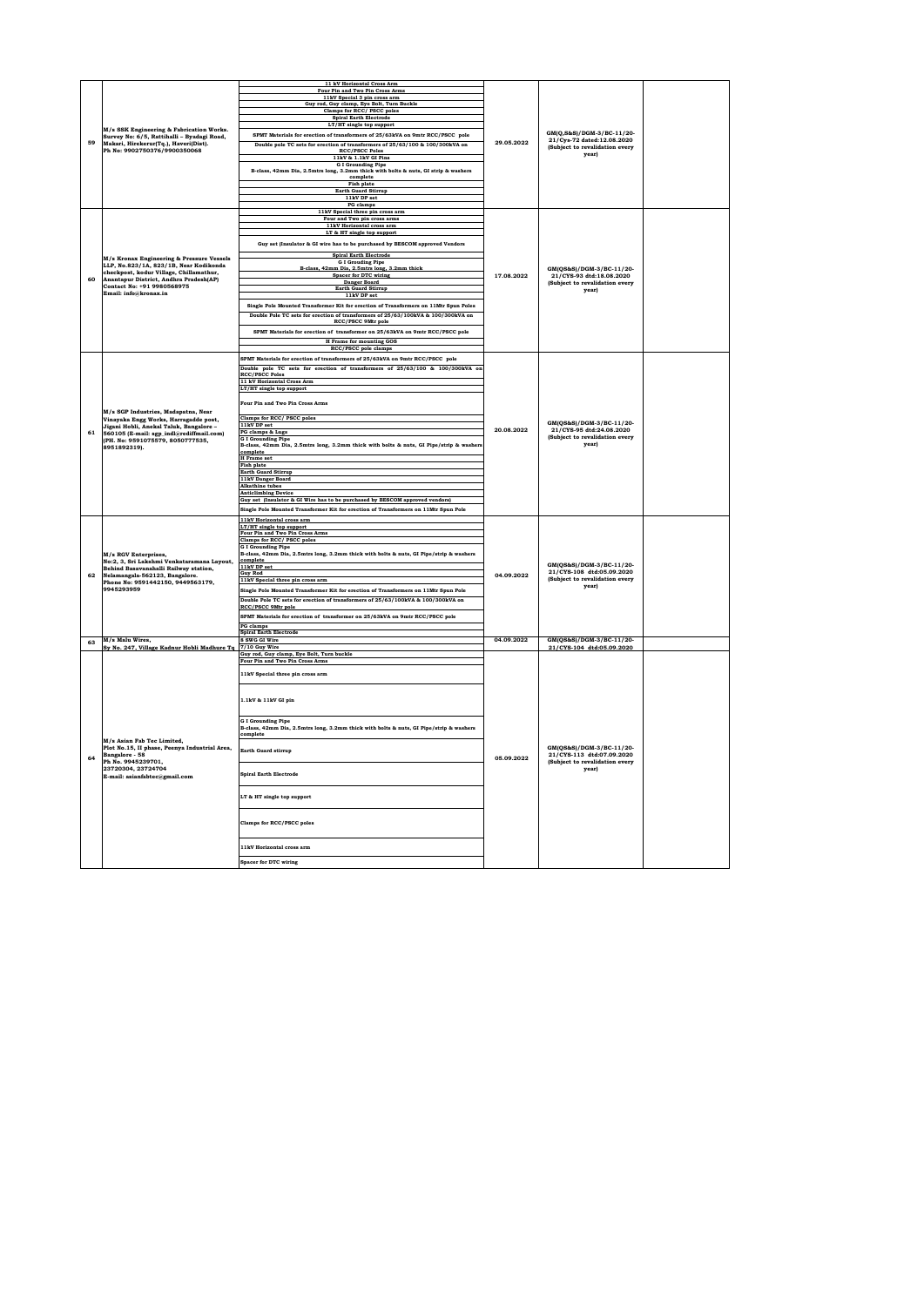|    |                                                                                        | 11 kV Horizontal Cross Arm<br>Four Pin and Two Pin Cross Arms                                                                  |            |                                                                                         |  |
|----|----------------------------------------------------------------------------------------|--------------------------------------------------------------------------------------------------------------------------------|------------|-----------------------------------------------------------------------------------------|--|
|    |                                                                                        | 11kV Special 3 pin cross arm                                                                                                   |            |                                                                                         |  |
|    |                                                                                        | Guy rod, Guy clamp, Eye Bolt, Turn Buckle                                                                                      |            |                                                                                         |  |
|    |                                                                                        | Clamps for RCC/ PSCC poles<br><b>Spiral Earth Electrode</b>                                                                    |            |                                                                                         |  |
|    |                                                                                        | LT/HT single top support                                                                                                       |            |                                                                                         |  |
|    | M/s SSK Engineering & Fabrication Works.<br>Survey No: 6/5, Rattihalli - Byadagi Road, | SPMT Materials for erection of transformers of 25/63kVA on 9mtr RCC/PSCC pole                                                  |            | GM(O.S&S)/DGM-3/BC-11/20-                                                               |  |
| 59 | Makari, Hirekerur(Tq.), Haveri(Dist).                                                  | Double pole TC sets for erection of transformers of 25/63/100 & 100/300kVA on                                                  | 29.05.2022 | 21/Cys-72 dated:12.08.2020                                                              |  |
|    | Ph No: 9902750376/9900350068                                                           | <b>RCC/PSCC Poles</b>                                                                                                          |            | (Subject to revalidation every<br>year)                                                 |  |
|    |                                                                                        | 11kV & 1.1kV GI Pins                                                                                                           |            |                                                                                         |  |
|    |                                                                                        | $$\operatorname{\sf G}$ I Grounding Pipe B-class, 42mm Dia, 2.5mtrs long, 3.2mm thick with bolts & nuts, GI strip & washers    |            |                                                                                         |  |
|    |                                                                                        | complete                                                                                                                       |            |                                                                                         |  |
|    |                                                                                        | Fish plate<br>Earth Guard Stirrup                                                                                              |            |                                                                                         |  |
|    |                                                                                        | 11kV DP set                                                                                                                    |            |                                                                                         |  |
|    |                                                                                        | PG clamps                                                                                                                      |            |                                                                                         |  |
|    |                                                                                        | 11kV Special three pin cross arm                                                                                               |            |                                                                                         |  |
|    |                                                                                        | Four and Two pin cross arms<br>11kV Horizontal cross arm                                                                       |            |                                                                                         |  |
|    |                                                                                        | LT & HT single top support                                                                                                     |            |                                                                                         |  |
|    |                                                                                        | Guy set (Insulator & GI wire has to be purchased by BESCOM approved Vendors                                                    |            |                                                                                         |  |
|    |                                                                                        |                                                                                                                                |            |                                                                                         |  |
|    | M/s Kronax Engineering & Pressure Vessels                                              | <b>Spiral Earth Electrode</b>                                                                                                  |            |                                                                                         |  |
|    | LLP, No.823/1A, 823/1B, Near Kodikonda                                                 | ${\footnotesize \begin{array}{c} \text{G I Grouding Pipe} \\ \text{B-class, 42mm Dia, 2.5mtrs long, 3.2mm thick} \end{array}}$ |            | GM(QS&S)/DGM-3/BC-11/20-                                                                |  |
| 60 | checkpost, kodur Village, Chillamathur,<br>Anantapur District, Andhra Pradesh(AP)      | <b>Spacer for DTC wiring</b>                                                                                                   | 17.08.2022 | 21/CYS-93 dtd:18.08.2020                                                                |  |
|    | Contact No: +91 9980568975                                                             | Danger Board<br>Earth Guard Stirrup                                                                                            |            | (Subject to revalidation every                                                          |  |
|    | Email: info@kronax.in                                                                  | 11kV DP set                                                                                                                    |            | year)                                                                                   |  |
|    |                                                                                        | Single Pole Mounted Transformer Kit for erection of Transformers on 11Mtr Spun Poles                                           |            |                                                                                         |  |
|    |                                                                                        |                                                                                                                                |            |                                                                                         |  |
|    |                                                                                        | Double Pole TC sets for erection of transformers of 25/63/100kVA & 100/300kVA on<br>RCC/PSCC 9Mtr pole                         |            |                                                                                         |  |
|    |                                                                                        | SPMT Materials for erection of transformer on 25/63kVA on 9mtr RCC/PSCC pole                                                   |            |                                                                                         |  |
|    |                                                                                        | <b>H</b> Frame for mounting GOS                                                                                                |            |                                                                                         |  |
|    |                                                                                        | RCC/PSCC pole clamps                                                                                                           |            |                                                                                         |  |
|    |                                                                                        | SPMT Materials for erection of transformers of 25/63kVA on 9mtr RCC/PSCC pole                                                  |            |                                                                                         |  |
|    |                                                                                        | Double pole TC sets for erection of transformers of 25/63/100 & 100/300kVA on                                                  |            |                                                                                         |  |
|    |                                                                                        | <b>RCC/PSCC Poles</b>                                                                                                          |            |                                                                                         |  |
|    |                                                                                        | 11 kV Horizontal Cross Arm                                                                                                     |            |                                                                                         |  |
|    |                                                                                        | LT/HT single top support                                                                                                       |            | GM(OS&S)/DGM-3/BC-11/20-<br>21/CYS-95 dtd:24.08.2020<br>(Subject to revalidation every  |  |
|    |                                                                                        | Four Pin and Two Pin Cross Arms                                                                                                |            |                                                                                         |  |
|    | M/s SGP Industries, Madapatna, Near<br>Vinayaka Engg Works, Harragadde post,           |                                                                                                                                |            |                                                                                         |  |
|    |                                                                                        | Clamps for RCC/PSCC poles                                                                                                      |            |                                                                                         |  |
|    | Jigani Hobli, Anekal Taluk, Bangalore -                                                | 11kV DP set                                                                                                                    | 20.08.2022 |                                                                                         |  |
| 61 | 560105 (E-mail: sgp_indl@rediffmail.com)<br>(PH. No: 9591075579, 8050777535,           | PG clamps & Lugs<br><b>GI</b> Grounding Pipe                                                                                   |            |                                                                                         |  |
|    | 8951892319).                                                                           | B-class, 42mm Dia, 2.5mtrs long, 3.2mm thick with bolts & nuts, GI Pipe/strip & washer                                         |            | year)                                                                                   |  |
|    |                                                                                        | complete<br><b>H</b> Frame set                                                                                                 |            |                                                                                         |  |
|    |                                                                                        | Fish plate                                                                                                                     |            |                                                                                         |  |
|    |                                                                                        | <b>Earth Guard Stirrup</b>                                                                                                     |            |                                                                                         |  |
|    |                                                                                        | 11kV Danger Board                                                                                                              |            |                                                                                         |  |
|    |                                                                                        | <b>Alkathine</b> tubes<br><b>Anticlimbing Device</b>                                                                           |            |                                                                                         |  |
|    |                                                                                        | Guy set [Insulator & GI Wire has to be purchased by BESCOM approved vendors]                                                   |            |                                                                                         |  |
|    |                                                                                        | Single Pole Mounted Transformer Kit for erection of Transformers on 11Mtr Spun Pole                                            |            |                                                                                         |  |
|    |                                                                                        | 11kV Horizontal cross arm                                                                                                      |            |                                                                                         |  |
|    |                                                                                        | LT/HT single top support                                                                                                       |            | GM(QS&S)/DGM-3/BC-11/20-<br>21/CYS-108 dtd:05.09.2020<br>(Subject to revalidation every |  |
|    |                                                                                        | Four Pin and Two Pin Cross Arms                                                                                                |            |                                                                                         |  |
|    |                                                                                        | Clamps for RCC/ PSCC poles<br><b>GI</b> Grounding Pipe                                                                         |            |                                                                                         |  |
|    | M/s RGV Enterprises,                                                                   | B-class, 42mm Dia, 2.5mtrs long, 3.2mm thick with bolts & nuts, GI Pipe/strip & washers                                        |            |                                                                                         |  |
|    | No:2, 3, Sri Lakshmi Venkataramana Layout,                                             | complete<br>11kV DP set                                                                                                        |            |                                                                                         |  |
| 62 | Behind Basavanahalli Railway station,<br>Nelamangala-562123, Bangalore.                | <b>Guy Rod</b>                                                                                                                 | 04.09.2022 |                                                                                         |  |
|    | Phone No: 9591442150, 9449563179,                                                      | 11kV Special three pin cross arm                                                                                               |            |                                                                                         |  |
|    | 9945293959                                                                             | Single Pole Mounted Transformer Kit for erection of Transformers on 11Mtr Spun Pole                                            |            | vearl                                                                                   |  |
|    |                                                                                        | Double Pole TC sets for erection of transformers of 25/63/100kVA & 100/300kVA on                                               |            |                                                                                         |  |
|    |                                                                                        | RCC/PSCC 9Mtr pole                                                                                                             |            |                                                                                         |  |
|    |                                                                                        | SPMT Materials for erection of transformer on 25/63kVA on 9mtr RCC/PSCC pole                                                   |            |                                                                                         |  |
|    |                                                                                        | PG clamps                                                                                                                      |            |                                                                                         |  |
|    | M/s Malu Wires.                                                                        | <b>Spiral Earth Electrode</b><br>8 SWG GI Wire                                                                                 | 04.09.2022 | GM(OS&S)/DGM-3/BC-11/20-                                                                |  |
| 63 | Sy No. 247, Village Kadnur Hobli Madhure Tq                                            | 7/10 Guy Wire                                                                                                                  |            | 21/CYS-104 dtd:05.09.2020                                                               |  |
|    |                                                                                        | Guy rod, Guy clamp, Eye Bolt, Turn buckle                                                                                      |            |                                                                                         |  |
|    |                                                                                        | Four Pin and Two Pin Cross Arms                                                                                                |            |                                                                                         |  |
|    |                                                                                        | 11kV Special three pin cross arm                                                                                               |            |                                                                                         |  |
|    |                                                                                        |                                                                                                                                |            |                                                                                         |  |
|    |                                                                                        |                                                                                                                                |            |                                                                                         |  |
|    |                                                                                        | 1.1kV & 11kV GI pin                                                                                                            |            |                                                                                         |  |
|    |                                                                                        |                                                                                                                                |            |                                                                                         |  |
|    |                                                                                        |                                                                                                                                |            |                                                                                         |  |
|    |                                                                                        | <b>G I Grounding Pipe</b><br>B-class, 42mm Dia, 2.5mtrs long, 3.2mm thick with bolts & nuts, GI Pipe/strip & washers           |            |                                                                                         |  |
|    |                                                                                        | omplete                                                                                                                        |            |                                                                                         |  |
|    | M/s Asian Fab Tec Limited,<br>Plot No.15. II phase, Peenva Industrial Area.            |                                                                                                                                |            | GM(QS&S)/DGM-3/BC-11/20-                                                                |  |
|    | Bangalore - 58                                                                         | Earth Guard stirrup                                                                                                            |            | 21/CYS-113 dtd:07.09.2020                                                               |  |
| 64 | Ph No. 9945239701,                                                                     |                                                                                                                                | 05.09.2022 | (Subject to revalidation every                                                          |  |
|    | 23720304.23724704<br>E-mail: asianfabtec@gmail.com                                     | <b>Spiral Earth Electrode</b>                                                                                                  |            | year)                                                                                   |  |
|    |                                                                                        |                                                                                                                                |            |                                                                                         |  |
|    |                                                                                        |                                                                                                                                |            |                                                                                         |  |
|    |                                                                                        | LT & HT single top support                                                                                                     |            |                                                                                         |  |
|    |                                                                                        |                                                                                                                                |            |                                                                                         |  |
|    |                                                                                        |                                                                                                                                |            |                                                                                         |  |
|    |                                                                                        | Clamps for RCC/PSCC poles                                                                                                      |            |                                                                                         |  |
|    |                                                                                        |                                                                                                                                |            |                                                                                         |  |
|    |                                                                                        |                                                                                                                                |            |                                                                                         |  |
|    |                                                                                        |                                                                                                                                |            |                                                                                         |  |
|    |                                                                                        | 11kV Horizontal cross arm<br>Spacer for DTC wiring                                                                             |            |                                                                                         |  |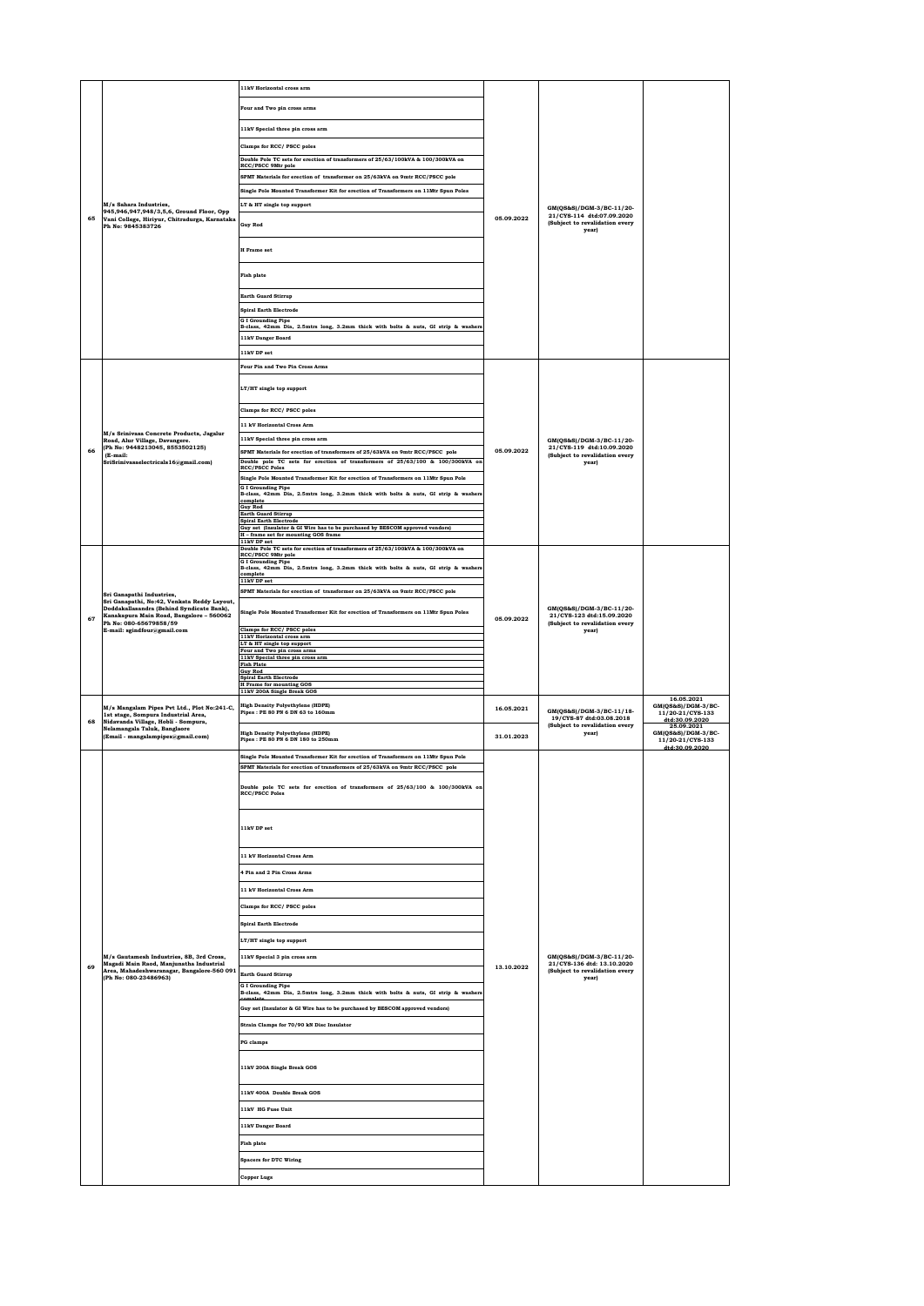|    |                                                                                                                                                                                               | 11kV Horizontal cross arm                                                                                                                                                                                                 |            |                                                                                                  |                                                                        |
|----|-----------------------------------------------------------------------------------------------------------------------------------------------------------------------------------------------|---------------------------------------------------------------------------------------------------------------------------------------------------------------------------------------------------------------------------|------------|--------------------------------------------------------------------------------------------------|------------------------------------------------------------------------|
|    |                                                                                                                                                                                               | Four and Two pin cross arms                                                                                                                                                                                               |            |                                                                                                  |                                                                        |
|    |                                                                                                                                                                                               |                                                                                                                                                                                                                           |            |                                                                                                  |                                                                        |
|    |                                                                                                                                                                                               | 11kV Special three pin cross arm                                                                                                                                                                                          |            |                                                                                                  |                                                                        |
|    |                                                                                                                                                                                               | Clamps for RCC/ PSCC poles<br>Double Pole TC sets for erection of transformers of 25/63/100kVA & 100/300kVA on                                                                                                            |            |                                                                                                  |                                                                        |
|    |                                                                                                                                                                                               | RCC/PSCC 9Mtr pole                                                                                                                                                                                                        |            |                                                                                                  |                                                                        |
|    |                                                                                                                                                                                               | SPMT Materials for erection of transformer on 25/63kVA on 9mtr RCC/PSCC pole                                                                                                                                              |            |                                                                                                  |                                                                        |
|    | M/s Sahara Industries,                                                                                                                                                                        | Single Pole Mounted Transformer Kit for erection of Transformers on 11Mtr Spun Poles<br>LT & HT single top support                                                                                                        |            |                                                                                                  |                                                                        |
| 65 | 945,946,947,948/3,5,6, Ground Floor, Opp<br>Vani College, Hiriyur, Chitradurga, Karnataka                                                                                                     |                                                                                                                                                                                                                           | 05.09.2022 | GM(QS&S)/DGM-3/BC-11/20-<br>21/CYS-114 dtd:07.09.2020                                            |                                                                        |
|    | Ph No: 9845383726                                                                                                                                                                             | <b>Guy Rod</b>                                                                                                                                                                                                            |            | (Subject to revalidation every<br>vearl                                                          |                                                                        |
|    |                                                                                                                                                                                               | <b>H</b> Frame set                                                                                                                                                                                                        |            |                                                                                                  |                                                                        |
|    |                                                                                                                                                                                               | <b>Fish plate</b>                                                                                                                                                                                                         |            |                                                                                                  |                                                                        |
|    |                                                                                                                                                                                               | <b>Earth Guard Stirrup</b>                                                                                                                                                                                                |            |                                                                                                  |                                                                        |
|    |                                                                                                                                                                                               | <b>Spiral Earth Electrode</b>                                                                                                                                                                                             |            |                                                                                                  |                                                                        |
|    |                                                                                                                                                                                               | <b>GI</b> Grounding Pipe<br>B-class, 42mm Dia, 2.5mtrs long, 3.2mm thick with bolts & nuts, GI strip & washers                                                                                                            |            |                                                                                                  |                                                                        |
|    |                                                                                                                                                                                               | 11kV Danger Board                                                                                                                                                                                                         |            |                                                                                                  |                                                                        |
|    |                                                                                                                                                                                               | 11kV DP set                                                                                                                                                                                                               |            |                                                                                                  |                                                                        |
|    |                                                                                                                                                                                               | Four Pin and Two Pin Cross Arms                                                                                                                                                                                           |            |                                                                                                  |                                                                        |
|    |                                                                                                                                                                                               | LT/HT single top support                                                                                                                                                                                                  |            |                                                                                                  |                                                                        |
|    |                                                                                                                                                                                               |                                                                                                                                                                                                                           |            |                                                                                                  |                                                                        |
|    |                                                                                                                                                                                               | Clamps for RCC/ PSCC poles                                                                                                                                                                                                |            |                                                                                                  |                                                                        |
|    |                                                                                                                                                                                               | 11 kV Horizontal Cross Arm                                                                                                                                                                                                |            |                                                                                                  |                                                                        |
|    | M/s Srinivasa Concrete Products, Jagalur<br>Road, Alur Village, Davangere.                                                                                                                    | 11kV Special three pin cross arm                                                                                                                                                                                          |            | GM(QS&S)/DGM-3/BC-11/20-                                                                         |                                                                        |
| 66 | (Ph No: 9448213045, 8553502125)<br>(E-mail:                                                                                                                                                   | SPMT Materials for erection of transformers of 25/63kVA on 9mtr RCC/PSCC pole                                                                                                                                             | 05.09.2022 | 21/CYS-119 dtd:10.09.2020<br>(Subject to revalidation every                                      |                                                                        |
|    | SriSrinivasaelectricals16@gmail.com)                                                                                                                                                          | Double pole TC sets for erection of transformers of 25/63/100 & 100/300kVA on<br><b>RCC/PSCC Poles</b>                                                                                                                    |            | year)                                                                                            |                                                                        |
|    |                                                                                                                                                                                               | Single Pole Mounted Transformer Kit for erection of Transformers on 11Mtr Spun Pole<br><b>GI</b> Grounding Pipe                                                                                                           |            |                                                                                                  |                                                                        |
|    |                                                                                                                                                                                               | B-class, 42mm Dia, 2.5mtrs long, 3.2mm thick with bolts & nuts, GI strip & washer<br>complete                                                                                                                             |            |                                                                                                  |                                                                        |
|    |                                                                                                                                                                                               | <b>Guy Rod</b><br>Earth Guard Stirrup                                                                                                                                                                                     |            |                                                                                                  |                                                                        |
|    |                                                                                                                                                                                               | <b>Spiral Earth Electrode</b><br>Guy set (Insulator & GI Wire has to be purchased by BESCOM approved vendors)                                                                                                             |            |                                                                                                  |                                                                        |
|    |                                                                                                                                                                                               | H - frame set for mounting GOS frame<br>11kV DP set                                                                                                                                                                       |            |                                                                                                  |                                                                        |
|    |                                                                                                                                                                                               | Double Pole TC sets for erection of transformers of 25/63/100kVA & 100/300kVA on<br>RCC/PSCC 9Mtr pole<br><b>G I Grounding Pipe</b><br>B-class, 42mm Dia, 2.5mtrs long, 3.2mm thick with bolts & nuts, GI strip & washers |            |                                                                                                  |                                                                        |
|    |                                                                                                                                                                                               | complete<br>11kV DP set                                                                                                                                                                                                   |            | GM(QS&S)/DGM-3/BC-11/20-<br>21/CYS-123 dtd:15.09.2020<br>(Subject to revalidation every<br>year) |                                                                        |
|    | Sri Ganapathi Industries,                                                                                                                                                                     | SPMT Materials for erection of transformer on 25/63kVA on 9mtr RCC/PSCC pole                                                                                                                                              |            |                                                                                                  |                                                                        |
| 67 | Sri Ganapathi, No:42, Venkata Reddy Layout,<br>Doddakallasandra (Behind Syndicate Bank),<br>Kanakapura Main Road, Bangalore - 560062<br>Ph No: 080-65679858/59<br>E-mail: sgindfour@gmail.com | Single Pole Mounted Transformer Kit for erection of Transformers on 11Mtr Spun Poles                                                                                                                                      | 05.09.2022 |                                                                                                  |                                                                        |
|    |                                                                                                                                                                                               | Clamps for RCC/ PSCC poles<br>11kV Horizontal cross arm                                                                                                                                                                   |            |                                                                                                  |                                                                        |
|    |                                                                                                                                                                                               | LT & HT single top support<br>Four and Two pin cross arms                                                                                                                                                                 |            |                                                                                                  |                                                                        |
|    |                                                                                                                                                                                               | 11kV Special three pin cross arm                                                                                                                                                                                          |            |                                                                                                  |                                                                        |
|    |                                                                                                                                                                                               | <b>Fish Plate</b>                                                                                                                                                                                                         |            |                                                                                                  |                                                                        |
|    |                                                                                                                                                                                               | <b>Guy Rod</b><br><b>Spiral Earth Electrode</b>                                                                                                                                                                           |            |                                                                                                  |                                                                        |
|    |                                                                                                                                                                                               | <b>H</b> Frame for mounting GOS<br>11kV 200A Single Break GOS                                                                                                                                                             |            |                                                                                                  |                                                                        |
|    | M/s Mangalam Pipes Pvt Ltd., Plot No:241-C,<br>1st stage, Sompura Industrial Area,                                                                                                            | <b>High Density Polyethylene (HDPE)</b><br>Pipes : PE 80 PN 6 DN 63 to 160mm                                                                                                                                              | 16.05.2021 | GM(QS&S)/DGM-3/BC-11/18-                                                                         | 16.05.2021<br>GM(QS&S)/DGM-3/BC-<br>11/20-21/CYS-133                   |
| 68 | Nidavanda Village, Hobli - Sompura,<br>Nelamangala Taluk, Banglaore<br>(Email - mangalampipes@gmail.com)                                                                                      | <b>High Density Polyethylene (HDPE)</b><br>Pipes : PE 80 PN 6 DN 180 to 250mm                                                                                                                                             | 31.01.2023 | 19/CYS-87 dtd:03.08.2018<br>(Subject to revalidation every<br>year)                              | dtd:30.09.2020<br>25.09.2021<br>GM(QS&S)/DGM-3/BC-<br>11/20-21/CYS-133 |
|    |                                                                                                                                                                                               | Single Pole Mounted Transformer Kit for erection of Transformers on 11Mtr Spun Pole                                                                                                                                       |            |                                                                                                  | dtd:30.09.2020                                                         |
|    |                                                                                                                                                                                               | SPMT Materials for erection of transformers of 25/63kVA on 9mtr RCC/PSCC pole                                                                                                                                             |            |                                                                                                  |                                                                        |
|    |                                                                                                                                                                                               |                                                                                                                                                                                                                           |            |                                                                                                  |                                                                        |
|    |                                                                                                                                                                                               | Double pole TC sets for erection of transformers of 25/63/100 & 100/300kVA on<br><b>RCC/PSCC Poles</b>                                                                                                                    |            |                                                                                                  |                                                                        |
|    |                                                                                                                                                                                               |                                                                                                                                                                                                                           |            |                                                                                                  |                                                                        |
|    |                                                                                                                                                                                               | 11kV DP set                                                                                                                                                                                                               |            |                                                                                                  |                                                                        |
|    |                                                                                                                                                                                               | 11 kV Horizontal Cross Arm                                                                                                                                                                                                |            |                                                                                                  |                                                                        |
|    |                                                                                                                                                                                               | 4 Pin and 2 Pin Cross Arms                                                                                                                                                                                                |            |                                                                                                  |                                                                        |
|    |                                                                                                                                                                                               | 11 kV Horizontal Cross Arm                                                                                                                                                                                                |            |                                                                                                  |                                                                        |
|    |                                                                                                                                                                                               | Clamps for RCC/ PSCC poles                                                                                                                                                                                                |            |                                                                                                  |                                                                        |
|    |                                                                                                                                                                                               |                                                                                                                                                                                                                           |            |                                                                                                  |                                                                        |
|    |                                                                                                                                                                                               | <b>Spiral Earth Electrode</b>                                                                                                                                                                                             |            |                                                                                                  |                                                                        |
|    |                                                                                                                                                                                               | LT/HT single top support                                                                                                                                                                                                  |            |                                                                                                  |                                                                        |
|    | M/s Gautamesh Industries, 8B, 3rd Cross,<br>Magadi Main Raod, Manjunatha Industrial                                                                                                           | 11kV Special 3 pin cross arm                                                                                                                                                                                              |            | GM(QS&S)/DGM-3/BC-11/20-<br>21/CYS-136 dtd: 13.10.2020                                           |                                                                        |
| 69 | Area, Mahadeshwaranagar, Bangalore-560 091<br>(Ph No: 080-23486963)                                                                                                                           | <b>Earth Guard Stirrup</b>                                                                                                                                                                                                | 13.10.2022 | (Subject to revalidation every<br>year)                                                          |                                                                        |
|    |                                                                                                                                                                                               | <b>GI</b> Grounding Pipe<br>B-class, 42mm Dia, 2.5mtrs long, 3.2mm thick with bolts & nuts, GI strip & washers<br>omnlete                                                                                                 |            |                                                                                                  |                                                                        |
|    |                                                                                                                                                                                               | Guy set (Insulator & GI Wire has to be purchased by BESCOM approved vendors)                                                                                                                                              |            |                                                                                                  |                                                                        |
|    |                                                                                                                                                                                               | Strain Clamps for 70/90 kN Disc Insulator                                                                                                                                                                                 |            |                                                                                                  |                                                                        |
|    |                                                                                                                                                                                               |                                                                                                                                                                                                                           |            |                                                                                                  |                                                                        |
|    |                                                                                                                                                                                               | PG clamps                                                                                                                                                                                                                 |            |                                                                                                  |                                                                        |
|    |                                                                                                                                                                                               | 11kV 200A Single Break GOS                                                                                                                                                                                                |            |                                                                                                  |                                                                        |
|    |                                                                                                                                                                                               | 11kV 400A Double Break GOS                                                                                                                                                                                                |            |                                                                                                  |                                                                        |
|    |                                                                                                                                                                                               | 11kV HG Fuse Unit                                                                                                                                                                                                         |            |                                                                                                  |                                                                        |
|    |                                                                                                                                                                                               |                                                                                                                                                                                                                           |            |                                                                                                  |                                                                        |
|    |                                                                                                                                                                                               | 11kV Danger Board                                                                                                                                                                                                         |            |                                                                                                  |                                                                        |
|    |                                                                                                                                                                                               | <b>Fish plate</b>                                                                                                                                                                                                         |            |                                                                                                  |                                                                        |
|    |                                                                                                                                                                                               | <b>Spacers for DTC Wiring</b>                                                                                                                                                                                             |            |                                                                                                  |                                                                        |